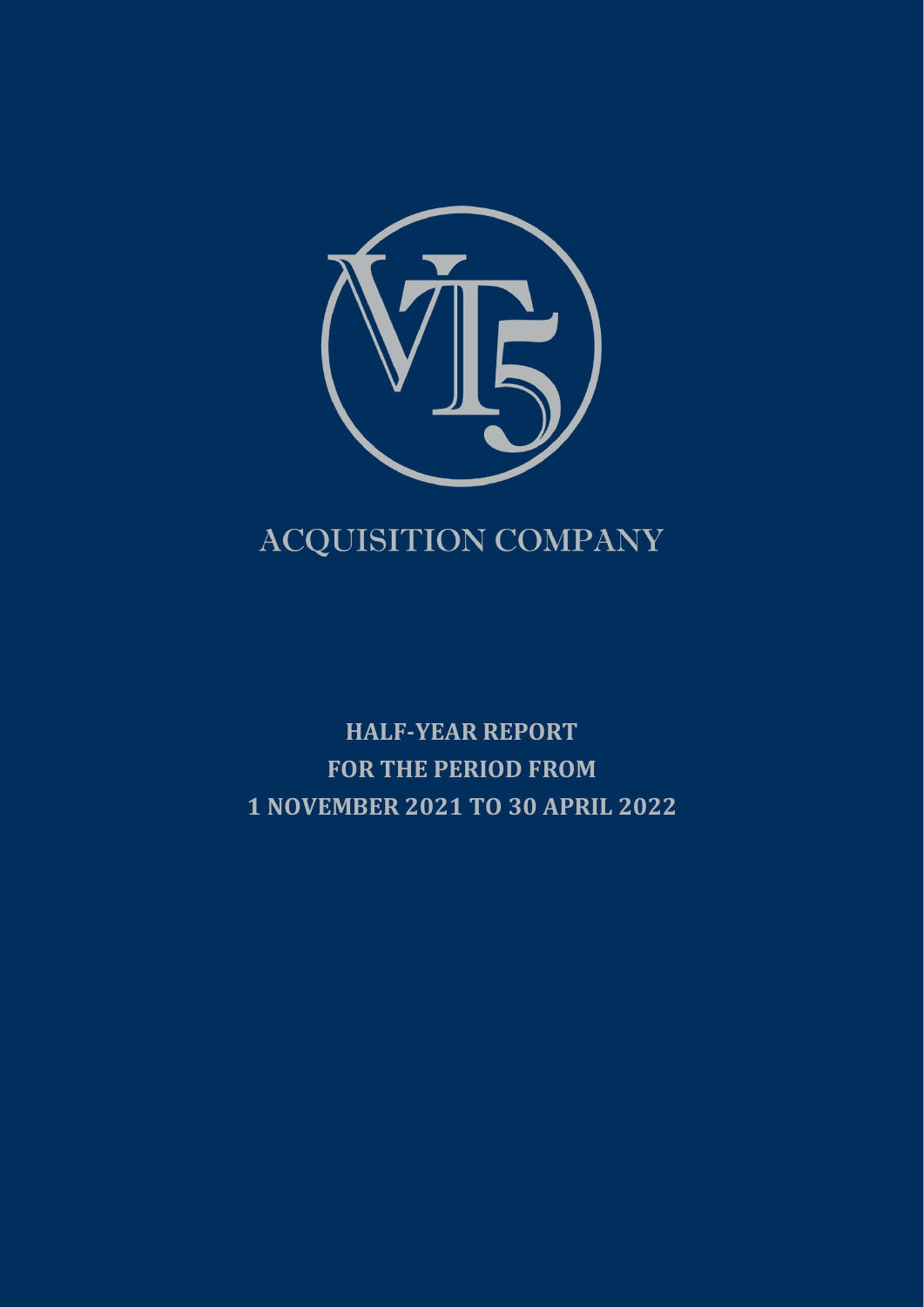

# ACQUISITION COMPANY

**HALF-YEAR REPORT FOR THE PERIOD FROM 1 NOVEMBER 2021 TO 30 APRIL 2022**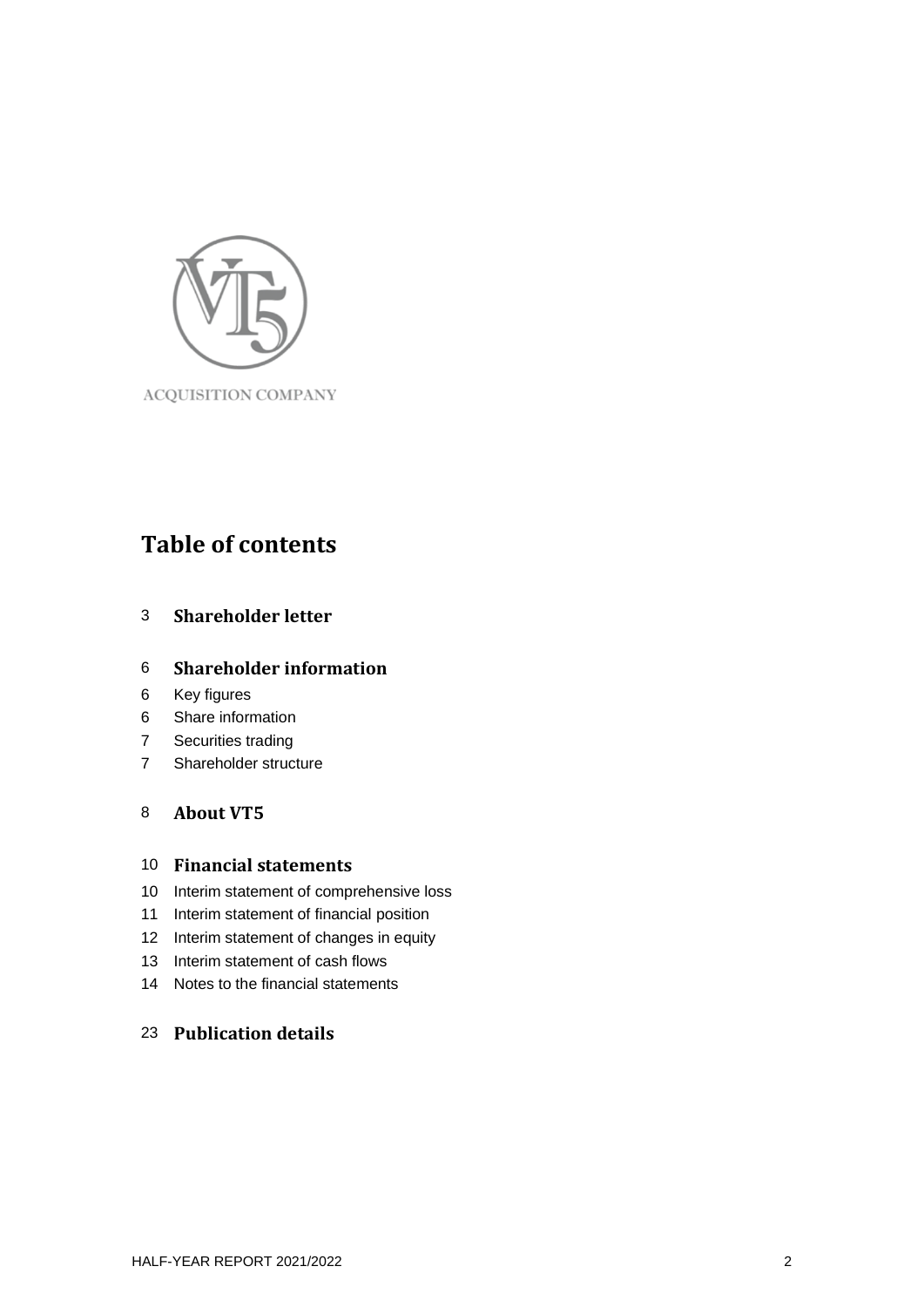

# **Table of contents**

## **Shareholder letter**

### **Shareholder information**

- Key figures
- Share information
- Securities trading
- Shareholder structure

## **About VT5**

### **Financial statements**

- Interim statement of comprehensive loss
- Interim statement of financial position
- Interim statement of changes in equity
- Interim statement of cash flows
- Notes to the financial statements

## **Publication details**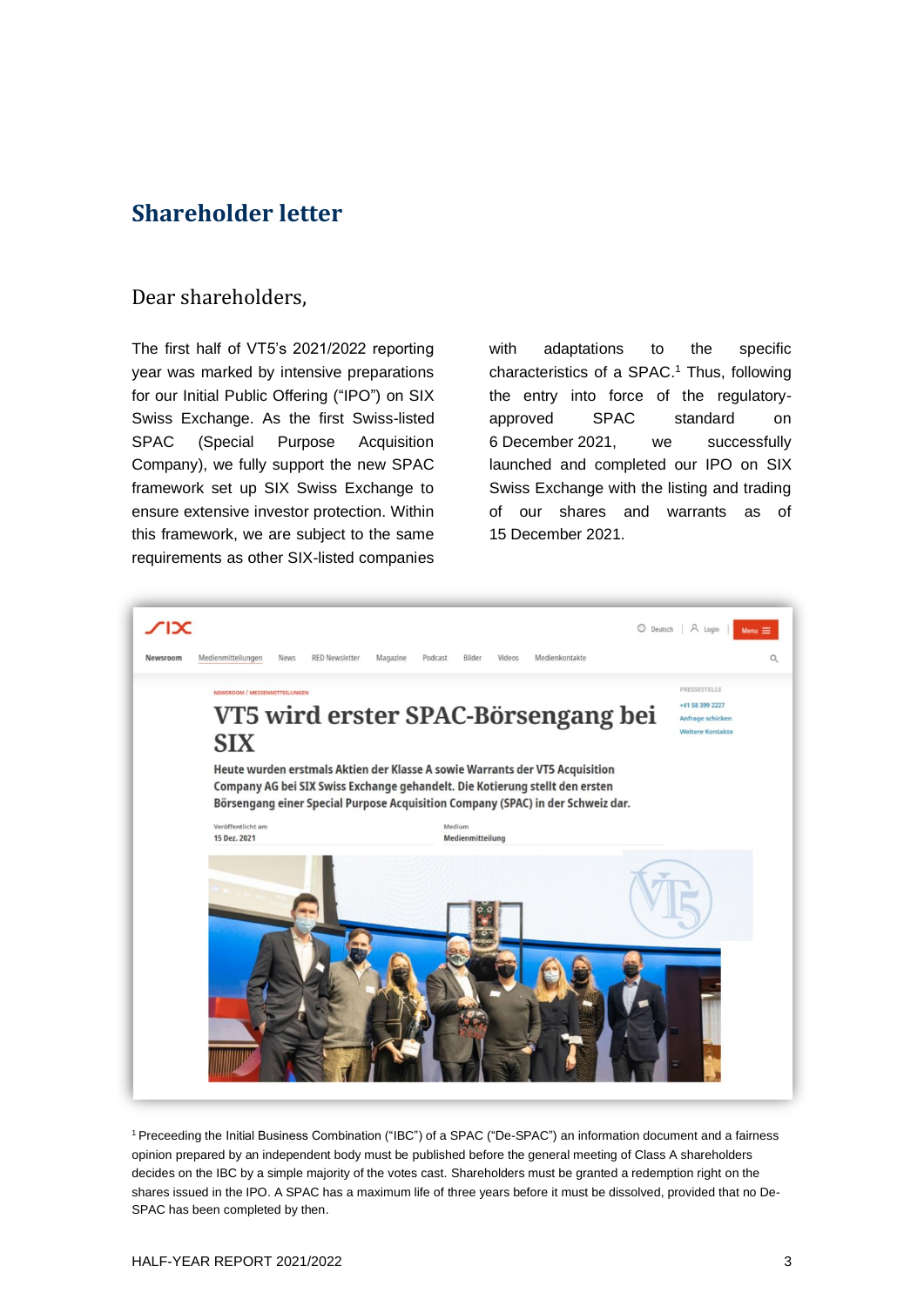## **Shareholder letter**

## Dear shareholders,

The first half of VT5's 2021/2022 reporting year was marked by intensive preparations for our Initial Public Offering ("IPO") on SIX Swiss Exchange. As the first Swiss-listed SPAC (Special Purpose Acquisition Company), we fully support the new SPAC framework set up SIX Swiss Exchange to ensure extensive investor protection. Within this framework, we are subject to the same requirements as other SIX-listed companies

with adaptations to the specific characteristics of a SPAC. <sup>1</sup> Thus, following the entry into force of the regulatoryapproved SPAC standard on 6 December 2021, we successfully launched and completed our IPO on SIX Swiss Exchange with the listing and trading of our shares and warrants as of 15 December 2021.



<sup>1</sup>Preceeding the Initial Business Combination ("IBC") of a SPAC ("De-SPAC") an information document and a fairness opinion prepared by an independent body must be published before the general meeting of Class A shareholders decides on the IBC by a simple majority of the votes cast. Shareholders must be granted a redemption right on the shares issued in the IPO. A SPAC has a maximum life of three years before it must be dissolved, provided that no De-SPAC has been completed by then.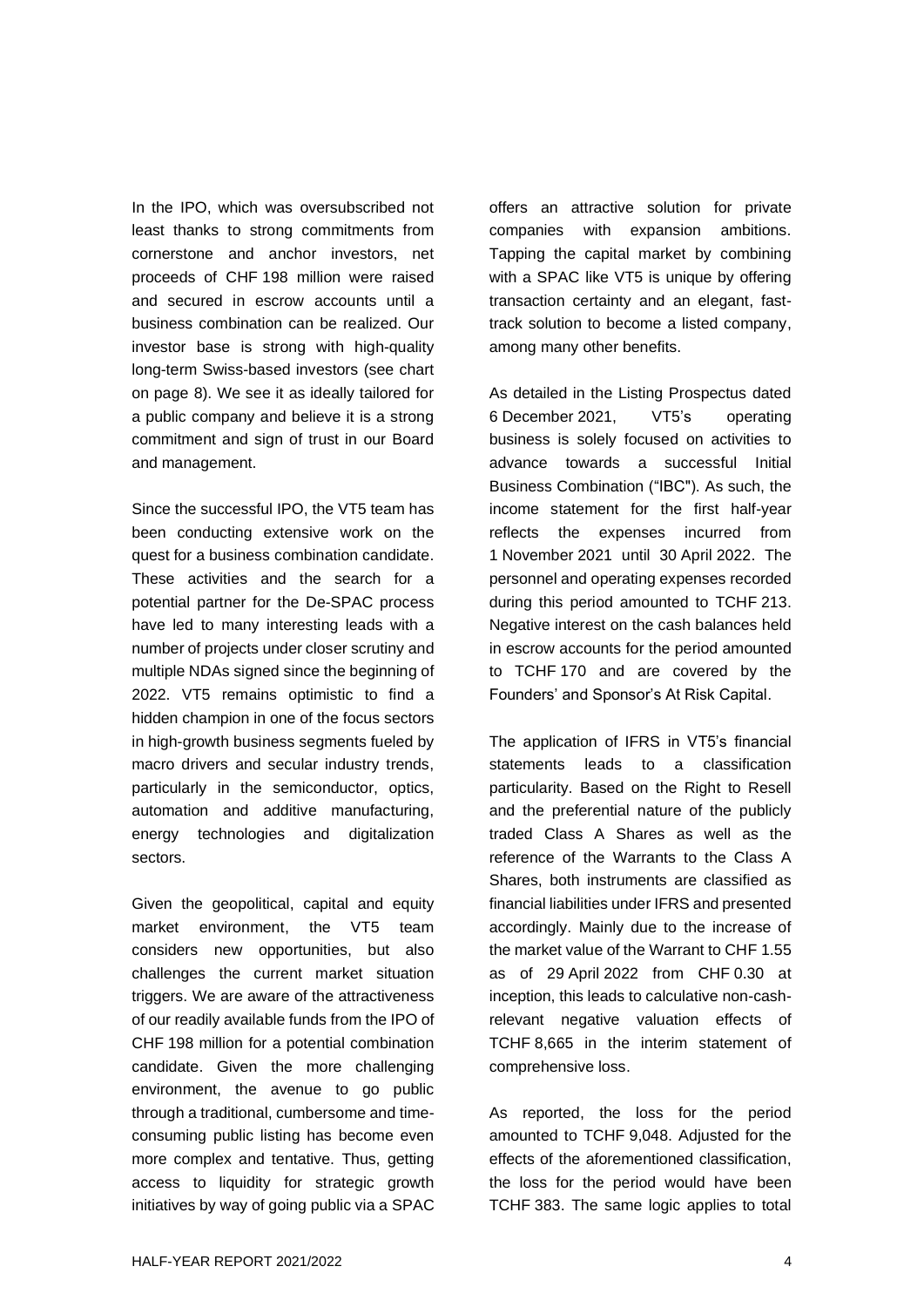In the IPO, which was oversubscribed not least thanks to strong commitments from cornerstone and anchor investors, net proceeds of CHF 198 million were raised and secured in escrow accounts until a business combination can be realized. Our investor base is strong with high-quality long-term Swiss-based investors (see chart on page 8). We see it as ideally tailored for a public company and believe it is a strong commitment and sign of trust in our Board and management.

Since the successful IPO, the VT5 team has been conducting extensive work on the quest for a business combination candidate. These activities and the search for a potential partner for the De-SPAC process have led to many interesting leads with a number of projects under closer scrutiny and multiple NDAs signed since the beginning of 2022. VT5 remains optimistic to find a hidden champion in one of the focus sectors in high-growth business segments fueled by macro drivers and secular industry trends, particularly in the semiconductor, optics, automation and additive manufacturing, energy technologies and digitalization sectors.

Given the geopolitical, capital and equity market environment, the VT5 team considers new opportunities, but also challenges the current market situation triggers. We are aware of the attractiveness of our readily available funds from the IPO of CHF 198 million for a potential combination candidate. Given the more challenging environment, the avenue to go public through a traditional, cumbersome and timeconsuming public listing has become even more complex and tentative. Thus, getting access to liquidity for strategic growth initiatives by way of going public via a SPAC

offers an attractive solution for private companies with expansion ambitions. Tapping the capital market by combining with a SPAC like VT5 is unique by offering transaction certainty and an elegant, fasttrack solution to become a listed company, among many other benefits.

As detailed in the Listing Prospectus dated 6 December 2021, VT5's operating business is solely focused on activities to advance towards a successful Initial Business Combination ("IBC"). As such, the income statement for the first half-year reflects the expenses incurred from 1 November 2021 until 30 April 2022. The personnel and operating expenses recorded during this period amounted to TCHF 213. Negative interest on the cash balances held in escrow accounts for the period amounted to TCHF 170 and are covered by the Founders' and Sponsor's At Risk Capital.

The application of IFRS in VT5's financial statements leads to a classification particularity. Based on the Right to Resell and the preferential nature of the publicly traded Class A Shares as well as the reference of the Warrants to the Class A Shares, both instruments are classified as financial liabilities under IFRS and presented accordingly. Mainly due to the increase of the market value of the Warrant to CHF 1.55 as of 29 April 2022 from CHF 0.30 at inception, this leads to calculative non-cashrelevant negative valuation effects of TCHF 8,665 in the interim statement of comprehensive loss.

As reported, the loss for the period amounted to TCHF 9,048. Adjusted for the effects of the aforementioned classification, the loss for the period would have been TCHF 383. The same logic applies to total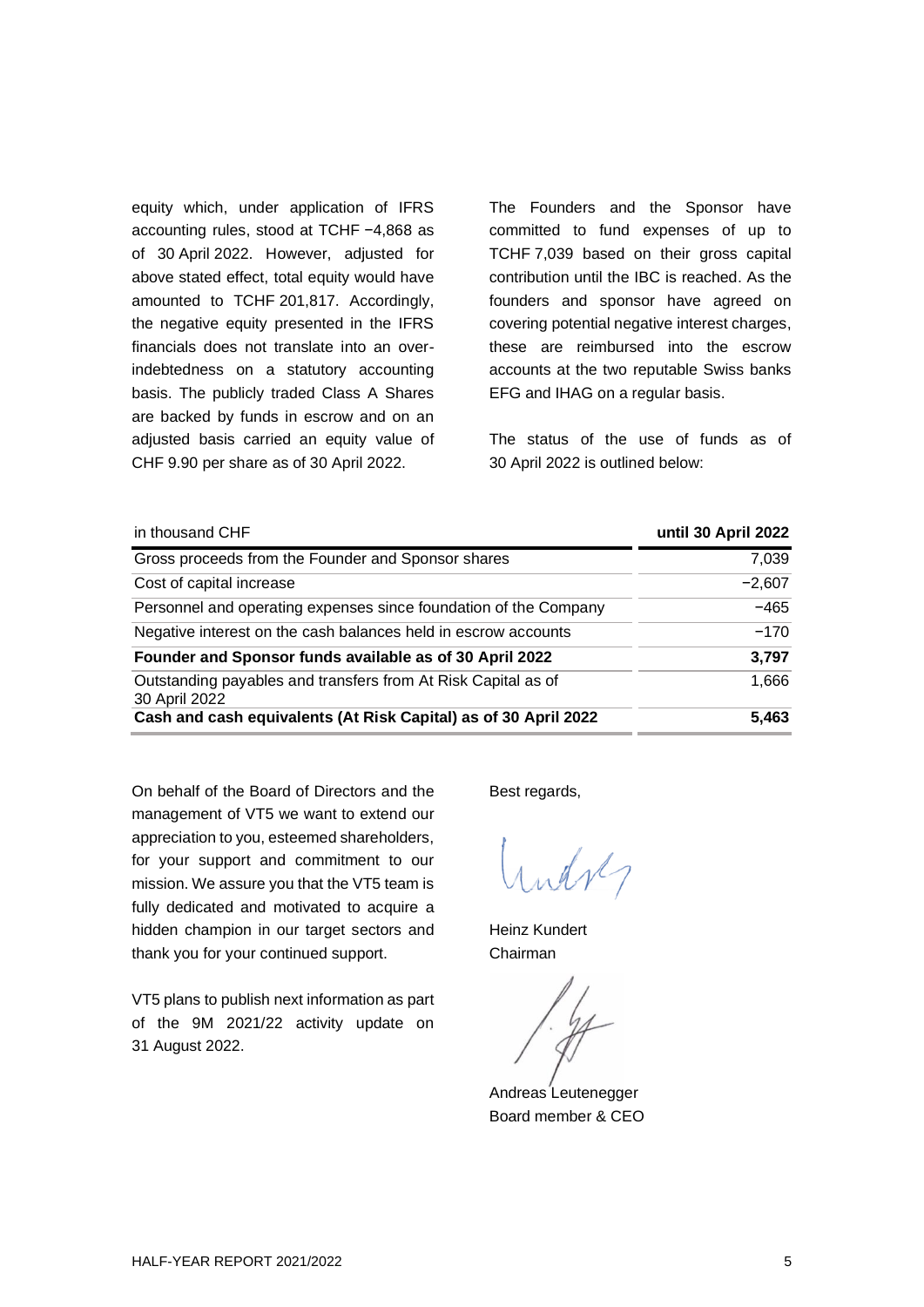equity which, under application of IFRS accounting rules, stood at TCHF −4,868 as of 30 April 2022. However, adjusted for above stated effect, total equity would have amounted to TCHF 201,817. Accordingly, the negative equity presented in the IFRS financials does not translate into an overindebtedness on a statutory accounting basis. The publicly traded Class A Shares are backed by funds in escrow and on an adjusted basis carried an equity value of CHF 9.90 per share as of 30 April 2022.

The Founders and the Sponsor have committed to fund expenses of up to TCHF 7,039 based on their gross capital contribution until the IBC is reached. As the founders and sponsor have agreed on covering potential negative interest charges, these are reimbursed into the escrow accounts at the two reputable Swiss banks EFG and IHAG on a regular basis.

The status of the use of funds as of 30 April 2022 is outlined below:

| in thousand CHF                                                                | until 30 April 2022 |
|--------------------------------------------------------------------------------|---------------------|
| Gross proceeds from the Founder and Sponsor shares                             | 7,039               |
| Cost of capital increase                                                       | $-2,607$            |
| Personnel and operating expenses since foundation of the Company               | $-465$              |
| Negative interest on the cash balances held in escrow accounts                 | $-170$              |
| Founder and Sponsor funds available as of 30 April 2022                        | 3,797               |
| Outstanding payables and transfers from At Risk Capital as of<br>30 April 2022 | 1,666               |
| Cash and cash equivalents (At Risk Capital) as of 30 April 2022                | 5,463               |

On behalf of the Board of Directors and the management of VT5 we want to extend our appreciation to you, esteemed shareholders, for your support and commitment to our mission. We assure you that the VT5 team is fully dedicated and motivated to acquire a hidden champion in our target sectors and thank you for your continued support.

VT5 plans to publish next information as part of the 9M 2021/22 activity update on 31 August 2022.

Best regards,

 $\mathcal{A}$ 

Heinz Kundert Chairman

Andreas Leutenegger Board member & CEO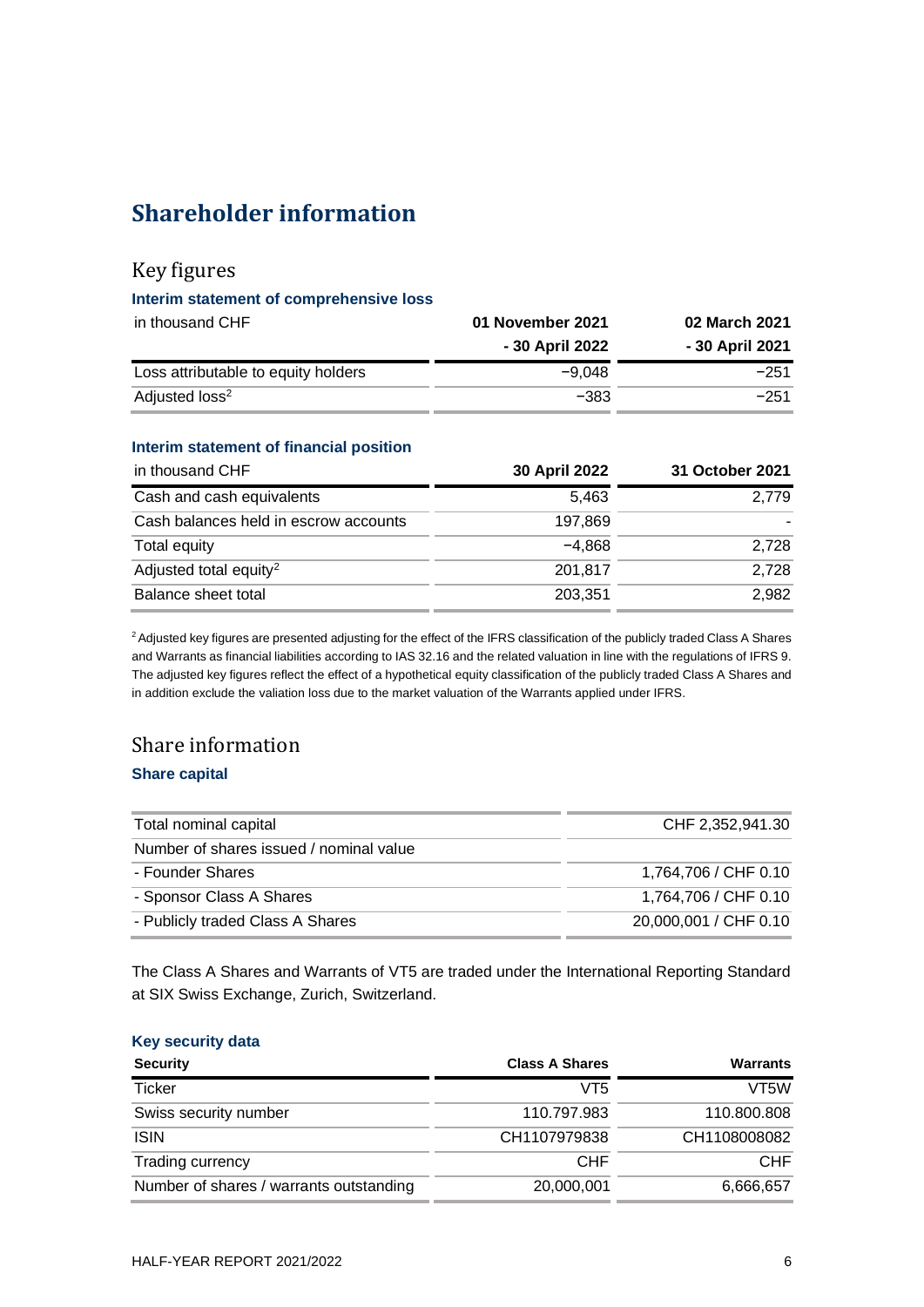# **Shareholder information**

## Key figures

#### **Interim statement of comprehensive loss**

| in thousand CHF                     | 01 November 2021 | 02 March 2021   |
|-------------------------------------|------------------|-----------------|
|                                     | - 30 April 2022  | - 30 April 2021 |
| Loss attributable to equity holders | $-9.048$         | $-251$          |
| Adjusted loss <sup>2</sup>          | $-383$           | $-251$          |

#### **Interim statement of financial position**

| in thousand CHF                       | <b>30 April 2022</b> | 31 October 2021 |
|---------------------------------------|----------------------|-----------------|
| Cash and cash equivalents             | 5.463                | 2.779           |
| Cash balances held in escrow accounts | 197.869              |                 |
| Total equity                          | $-4.868$             | 2.728           |
| Adjusted total equity <sup>2</sup>    | 201.817              | 2.728           |
| Balance sheet total                   | 203,351              | 2.982           |

<sup>2</sup> Adjusted key figures are presented adjusting for the effect of the IFRS classification of the publicly traded Class A Shares and Warrants as financial liabilities according to IAS 32.16 and the related valuation in line with the regulations of IFRS 9. The adjusted key figures reflect the effect of a hypothetical equity classification of the publicly traded Class A Shares and in addition exclude the valiation loss due to the market valuation of the Warrants applied under IFRS.

## Share information

#### **Share capital**

| Total nominal capital                   | CHF 2,352,941.30      |
|-----------------------------------------|-----------------------|
| Number of shares issued / nominal value |                       |
| - Founder Shares                        | 1,764,706 / CHF 0.10  |
| - Sponsor Class A Shares                | 1,764,706 / CHF 0.10  |
| - Publicly traded Class A Shares        | 20,000,001 / CHF 0.10 |

The Class A Shares and Warrants of VT5 are traded under the International Reporting Standard at SIX Swiss Exchange, Zurich, Switzerland.

#### **Key security data**

| <b>Security</b>                         | <b>Class A Shares</b> | <b>Warrants</b>   |
|-----------------------------------------|-----------------------|-------------------|
| <b>Ticker</b>                           | VT5                   | VT <sub>5</sub> W |
| Swiss security number                   | 110.797.983           | 110,800,808       |
| <b>ISIN</b>                             | CH1107979838          | CH1108008082      |
| Trading currency                        | <b>CHF</b>            | CHF               |
| Number of shares / warrants outstanding | 20,000,001            | 6,666,657         |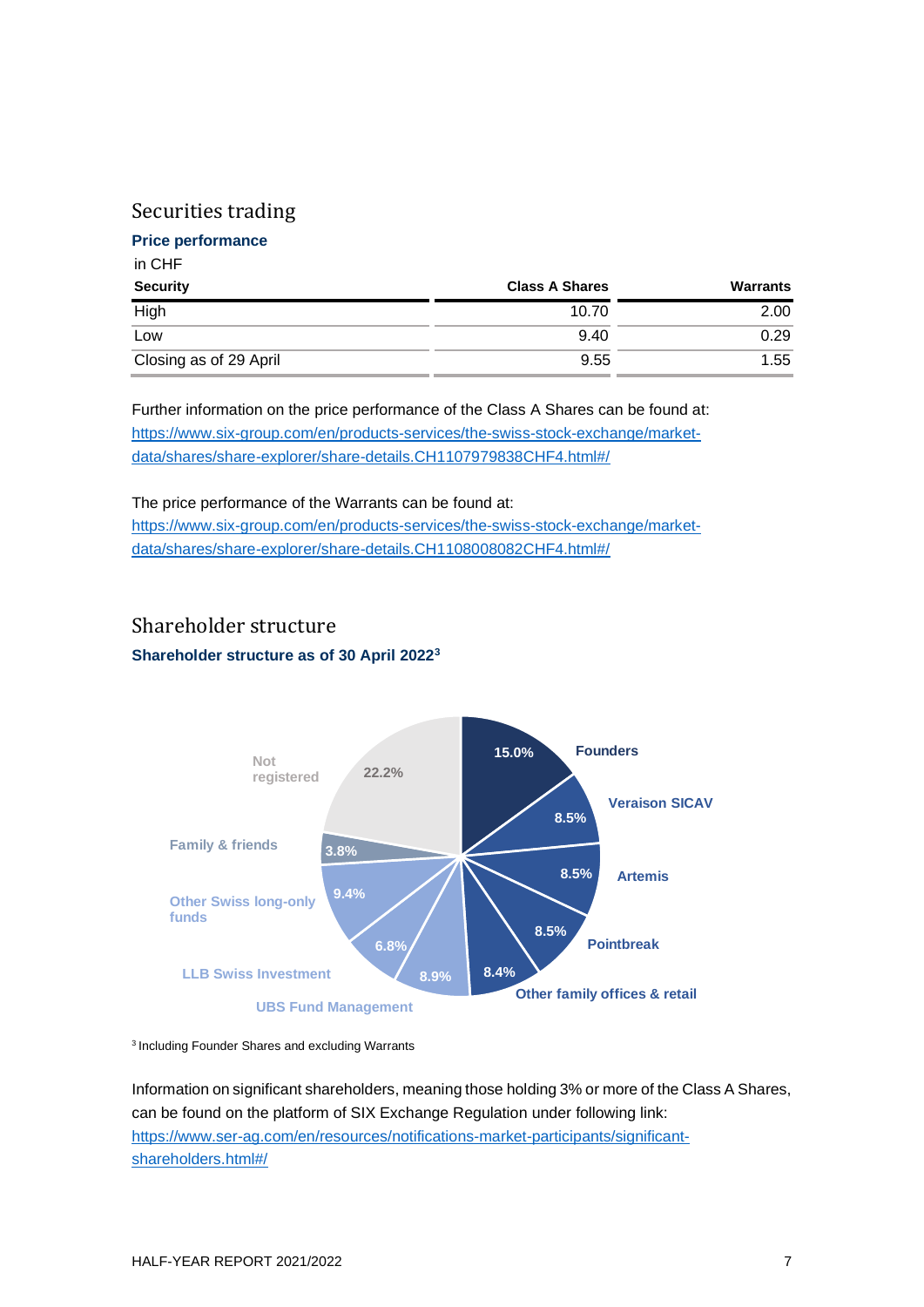## Securities trading

#### **Price performance**

#### in CHF

| <b>Security</b>        | <b>Class A Shares</b> | Warrants |
|------------------------|-----------------------|----------|
| High                   | 10.70                 | 2.00     |
| Low                    | 9.40                  | 0.29     |
| Closing as of 29 April | 9.55                  | 1.55     |

Further information on the price performance of the Class A Shares can be found at: [https://www.six-group.com/en/products-services/the-swiss-stock-exchange/market](https://www.six-group.com/en/products-services/the-swiss-stock-exchange/market-data/shares/share-explorer/share-details.CH1107979838CHF4.html%23/)[data/shares/share-explorer/share-details.CH1107979838CHF4.html#/](https://www.six-group.com/en/products-services/the-swiss-stock-exchange/market-data/shares/share-explorer/share-details.CH1107979838CHF4.html%23/)

#### The price performance of the Warrants can be found at:

[https://www.six-group.com/en/products-services/the-swiss-stock-exchange/market](https://www.six-group.com/en/products-services/the-swiss-stock-exchange/market-data/shares/share-explorer/share-details.CH1108008082CHF4.html%23/)[data/shares/share-explorer/share-details.CH1108008082CHF4.html#/](https://www.six-group.com/en/products-services/the-swiss-stock-exchange/market-data/shares/share-explorer/share-details.CH1108008082CHF4.html%23/)

## Shareholder structure

**Shareholder structure as of 30 April 2022<sup>3</sup>**



<sup>3</sup> Including Founder Shares and excluding Warrants

Information on significant shareholders, meaning those holding 3% or more of the Class A Shares, can be found on the platform of SIX Exchange Regulation under following link: [https://www.ser-ag.com/en/resources/notifications-market-participants/significant](https://www.ser-ag.com/en/resources/notifications-market-participants/significant-shareholders.html#/)[shareholders.html#/](https://www.ser-ag.com/en/resources/notifications-market-participants/significant-shareholders.html#/)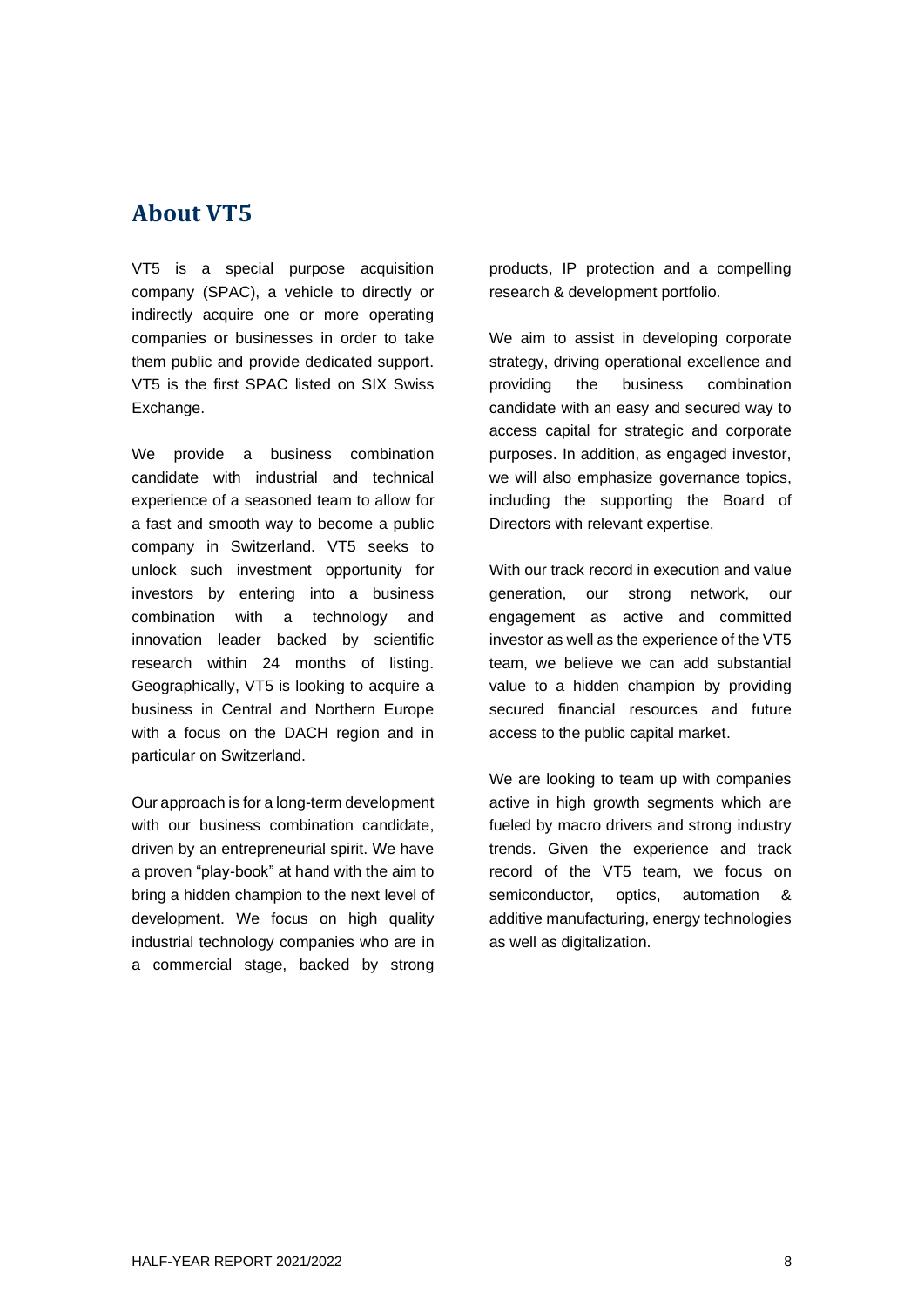## **About VT5**

VT5 is a special purpose acquisition company (SPAC), a vehicle to directly or indirectly acquire one or more operating companies or businesses in order to take them public and provide dedicated support. VT5 is the first SPAC listed on SIX Swiss Exchange.

We provide a business combination candidate with industrial and technical experience of a seasoned team to allow for a fast and smooth way to become a public company in Switzerland. VT5 seeks to unlock such investment opportunity for investors by entering into a business combination with a technology and innovation leader backed by scientific research within 24 months of listing. Geographically, VT5 is looking to acquire a business in Central and Northern Europe with a focus on the DACH region and in particular on Switzerland.

Our approach is for a long-term development with our business combination candidate, driven by an entrepreneurial spirit. We have a proven "play-book" at hand with the aim to bring a hidden champion to the next level of development. We focus on high quality industrial technology companies who are in a commercial stage, backed by strong

products, IP protection and a compelling research & development portfolio.

We aim to assist in developing corporate strategy, driving operational excellence and providing the business combination candidate with an easy and secured way to access capital for strategic and corporate purposes. In addition, as engaged investor, we will also emphasize governance topics, including the supporting the Board of Directors with relevant expertise.

With our track record in execution and value generation, our strong network, our engagement as active and committed investor as well as the experience of the VT5 team, we believe we can add substantial value to a hidden champion by providing secured financial resources and future access to the public capital market.

We are looking to team up with companies active in high growth segments which are fueled by macro drivers and strong industry trends. Given the experience and track record of the VT5 team, we focus on semiconductor, optics, automation & additive manufacturing, energy technologies as well as digitalization.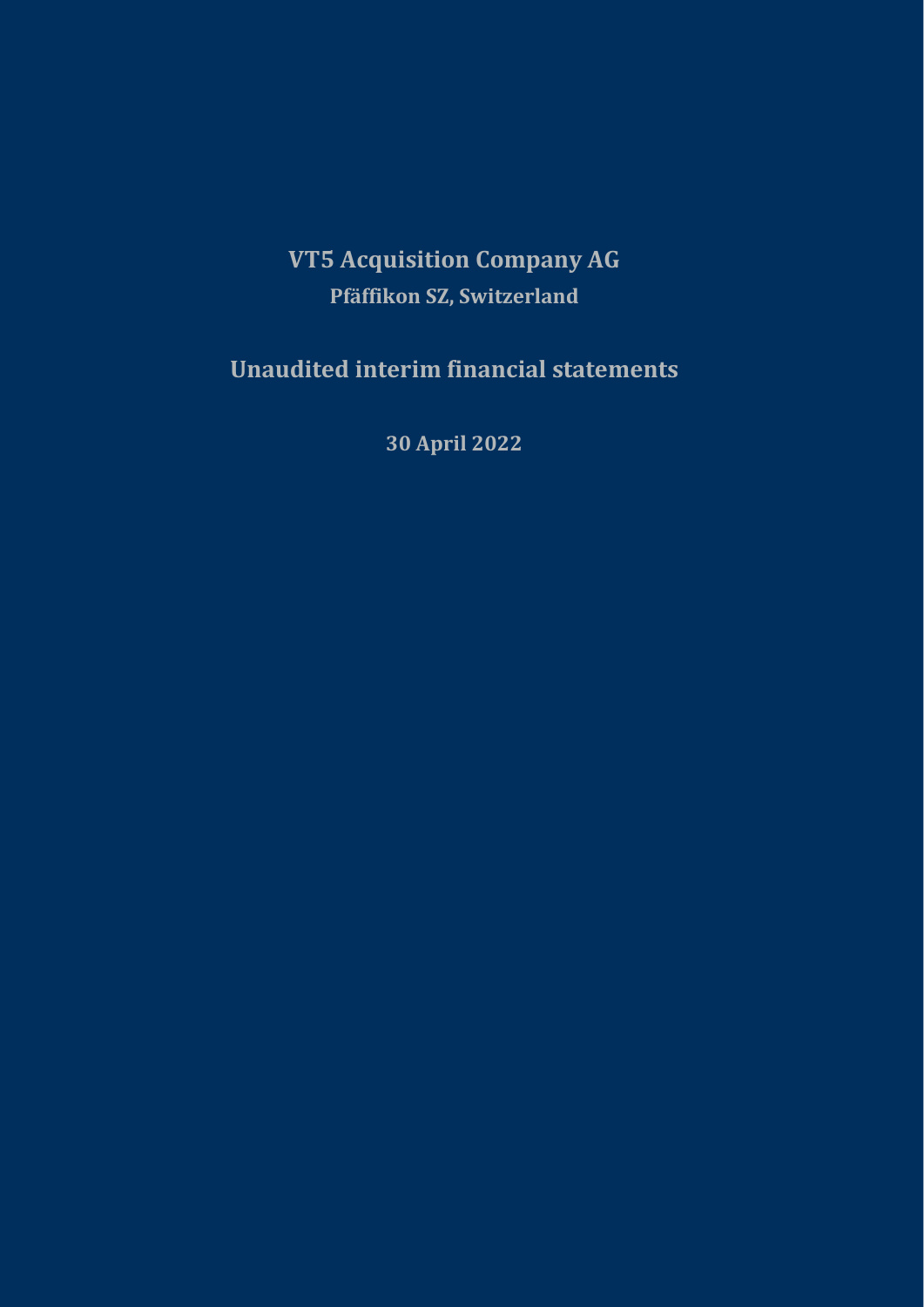# **VT5 Acquisition Company AG Pfäffikon SZ, Switzerland**

**Unaudited interim financial statements**

**30 April 2022**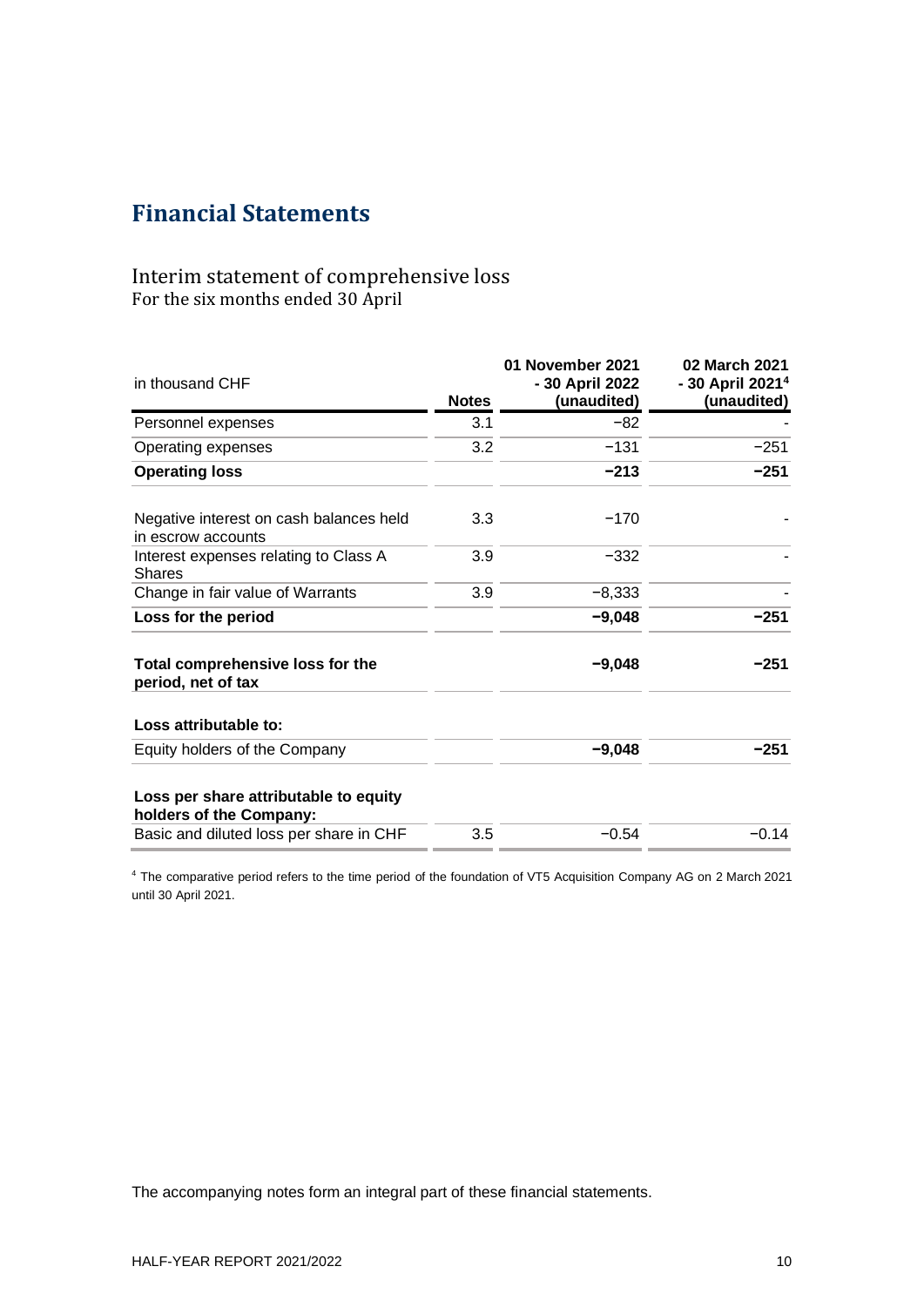## **Financial Statements**

## Interim statement of comprehensive loss For the six months ended 30 April

| in thousand CHF                                                  | <b>Notes</b> | 01 November 2021<br>- 30 April 2022<br>(unaudited) | 02 March 2021<br>- 30 April 2021 <sup>4</sup><br>(unaudited) |
|------------------------------------------------------------------|--------------|----------------------------------------------------|--------------------------------------------------------------|
| Personnel expenses                                               | 3.1          | $-82$                                              |                                                              |
| Operating expenses                                               | 3.2          | $-131$                                             | $-251$                                                       |
| <b>Operating loss</b>                                            |              | $-213$                                             | $-251$                                                       |
| Negative interest on cash balances held<br>in escrow accounts    | 3.3          | $-170$                                             |                                                              |
| Interest expenses relating to Class A<br><b>Shares</b>           | 3.9          | $-332$                                             |                                                              |
| Change in fair value of Warrants                                 | 3.9          | $-8,333$                                           |                                                              |
| Loss for the period                                              |              | $-9,048$                                           | $-251$                                                       |
| Total comprehensive loss for the<br>period, net of tax           |              | $-9,048$                                           | $-251$                                                       |
| Loss attributable to:                                            |              |                                                    |                                                              |
| Equity holders of the Company                                    |              | $-9,048$                                           | $-251$                                                       |
| Loss per share attributable to equity<br>holders of the Company: |              |                                                    |                                                              |
| Basic and diluted loss per share in CHF                          | 3.5          | $-0.54$                                            | $-0.14$                                                      |

<sup>4</sup> The comparative period refers to the time period of the foundation of VT5 Acquisition Company AG on 2 March 2021 until 30 April 2021.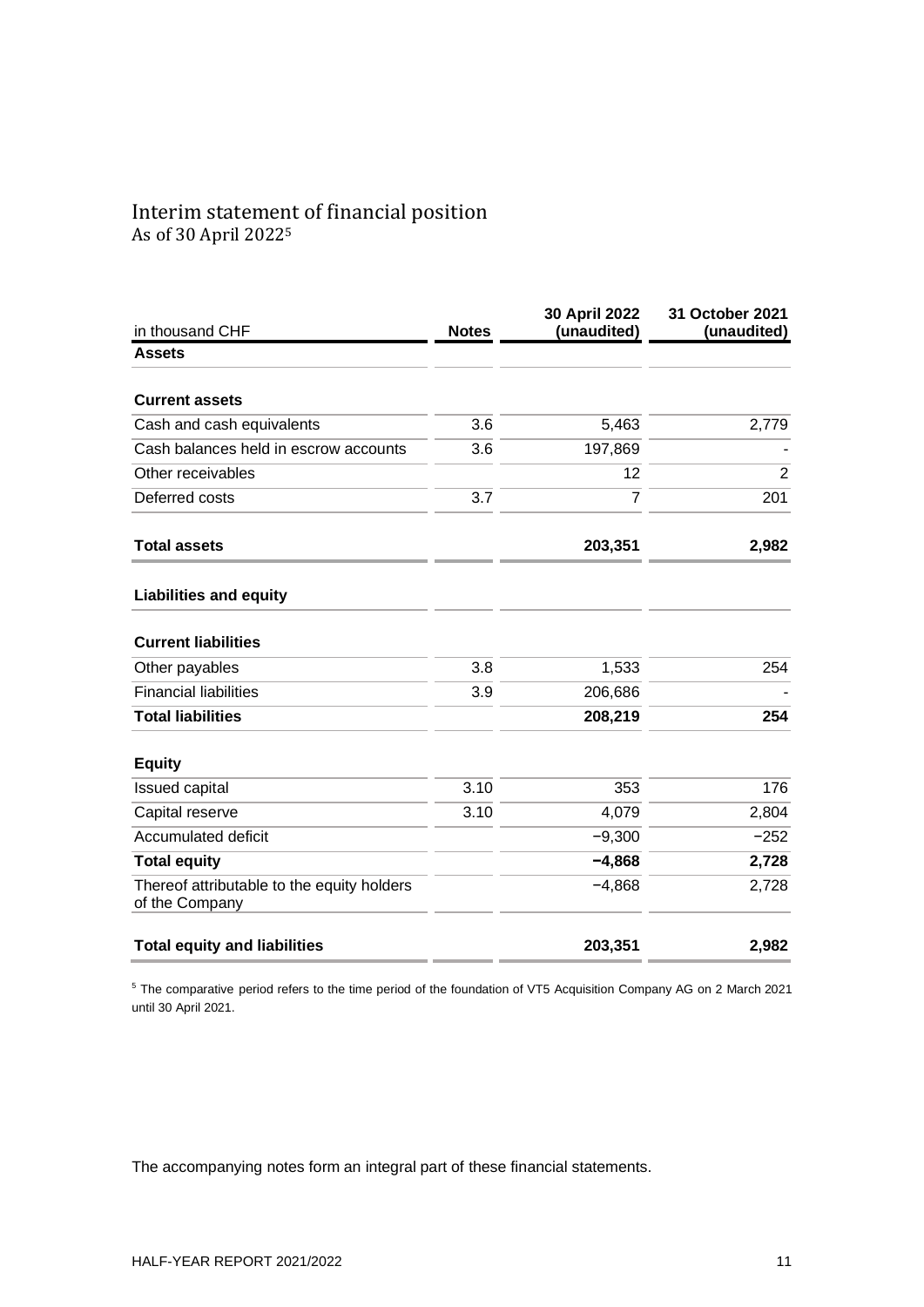# Interim statement of financial position

As of 30 April 2022<sup>5</sup>

| in thousand CHF                                              | <b>Notes</b> | 30 April 2022<br>(unaudited) | 31 October 2021<br>(unaudited) |
|--------------------------------------------------------------|--------------|------------------------------|--------------------------------|
| <b>Assets</b>                                                |              |                              |                                |
| <b>Current assets</b>                                        |              |                              |                                |
| Cash and cash equivalents                                    | 3.6          | 5,463                        | 2,779                          |
| Cash balances held in escrow accounts                        | 3.6          | 197,869                      |                                |
| Other receivables                                            |              | 12                           | $\overline{2}$                 |
| Deferred costs                                               | 3.7          | $\overline{7}$               | 201                            |
| <b>Total assets</b>                                          |              | 203,351                      | 2,982                          |
| <b>Liabilities and equity</b>                                |              |                              |                                |
| <b>Current liabilities</b>                                   |              |                              |                                |
| Other payables                                               | 3.8          | 1,533                        | 254                            |
| <b>Financial liabilities</b>                                 | 3.9          | 206,686                      |                                |
| <b>Total liabilities</b>                                     |              | 208,219                      | 254                            |
| <b>Equity</b>                                                |              |                              |                                |
| <b>Issued capital</b>                                        | 3.10         | 353                          | 176                            |
| Capital reserve                                              | 3.10         | 4,079                        | 2,804                          |
| Accumulated deficit                                          |              | $-9,300$                     | $-252$                         |
| <b>Total equity</b>                                          |              | $-4,868$                     | 2,728                          |
| Thereof attributable to the equity holders<br>of the Company |              | $-4,868$                     | 2,728                          |
| <b>Total equity and liabilities</b>                          |              | 203,351                      | 2,982                          |

<sup>5</sup> The comparative period refers to the time period of the foundation of VT5 Acquisition Company AG on 2 March 2021 until 30 April 2021.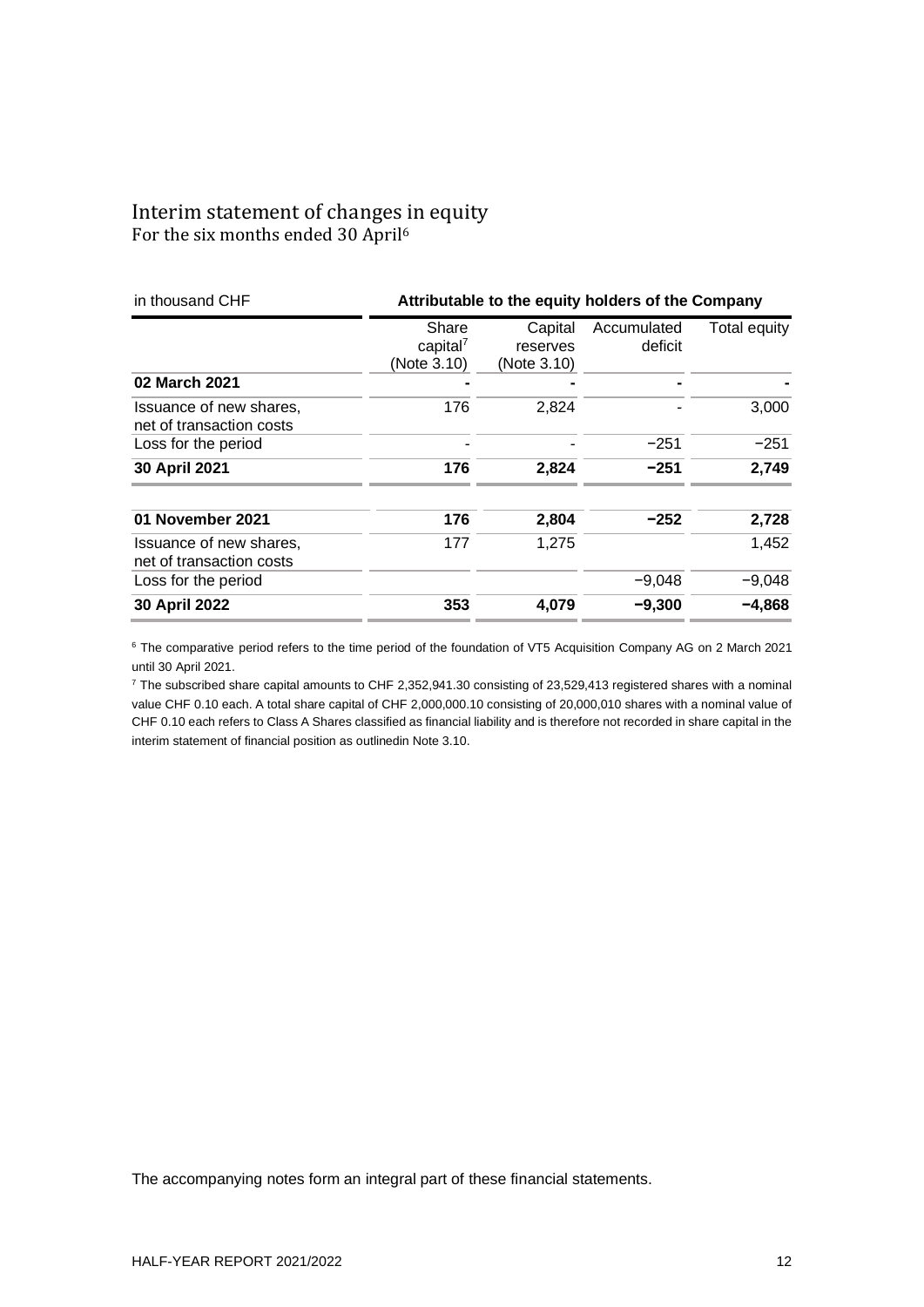## Interim statement of changes in equity For the six months ended 30 April<sup>6</sup>

| in thousand CHF                                     | Attributable to the equity holders of the Company |                                    |                        |              |
|-----------------------------------------------------|---------------------------------------------------|------------------------------------|------------------------|--------------|
|                                                     | Share<br>capital <sup>7</sup><br>(Note 3.10)      | Capital<br>reserves<br>(Note 3.10) | Accumulated<br>deficit | Total equity |
| 02 March 2021                                       |                                                   |                                    |                        |              |
| Issuance of new shares,<br>net of transaction costs | 176                                               | 2,824                              |                        | 3,000        |
| Loss for the period                                 |                                                   |                                    | $-251$                 | $-251$       |
| 30 April 2021                                       | 176                                               | 2,824                              | $-251$                 | 2,749        |
| 01 November 2021                                    | 176                                               | 2,804                              | $-252$                 | 2,728        |
| Issuance of new shares,<br>net of transaction costs | 177                                               | 1,275                              |                        | 1,452        |
| Loss for the period                                 |                                                   |                                    | $-9,048$               | $-9,048$     |
| 30 April 2022                                       | 353                                               | 4,079                              | $-9,300$               | $-4,868$     |

<sup>6</sup> The comparative period refers to the time period of the foundation of VT5 Acquisition Company AG on 2 March 2021 until 30 April 2021.

<sup>7</sup> The subscribed share capital amounts to CHF 2,352,941.30 consisting of 23,529,413 registered shares with a nominal value CHF 0.10 each. A total share capital of CHF 2,000,000.10 consisting of 20,000,010 shares with a nominal value of CHF 0.10 each refers to Class A Shares classified as financial liability and is therefore not recorded in share capital in the interim statement of financial position as outlinedin Note 3.10.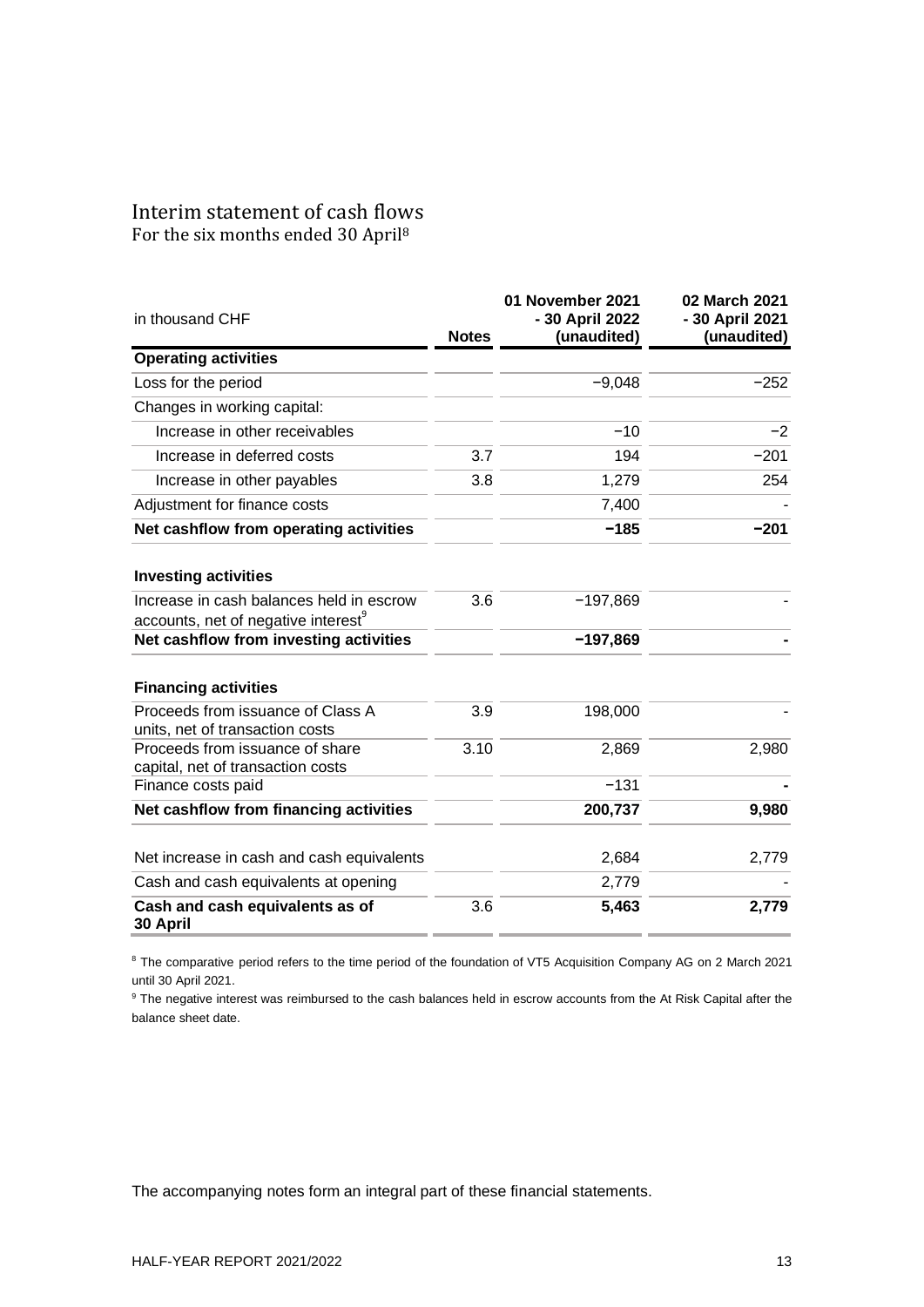## Interim statement of cash flows For the six months ended 30 April<sup>8</sup>

| in thousand CHF                                                      | <b>Notes</b> | 01 November 2021<br>- 30 April 2022<br>(unaudited) | 02 March 2021<br>- 30 April 2021<br>(unaudited) |
|----------------------------------------------------------------------|--------------|----------------------------------------------------|-------------------------------------------------|
| <b>Operating activities</b>                                          |              |                                                    |                                                 |
| Loss for the period                                                  |              | $-9,048$                                           | $-252$                                          |
| Changes in working capital:                                          |              |                                                    |                                                 |
| Increase in other receivables                                        |              | $-10$                                              | $-2$                                            |
| Increase in deferred costs                                           | 3.7          | 194                                                | $-201$                                          |
| Increase in other payables                                           | 3.8          | 1,279                                              | 254                                             |
| Adjustment for finance costs                                         |              | 7,400                                              |                                                 |
| Net cashflow from operating activities                               |              | $-185$                                             | $-201$                                          |
| <b>Investing activities</b>                                          |              |                                                    |                                                 |
| Increase in cash balances held in escrow                             | 3.6          | $-197,869$                                         |                                                 |
| accounts, net of negative interest                                   |              |                                                    |                                                 |
| Net cashflow from investing activities                               |              | $-197,869$                                         |                                                 |
| <b>Financing activities</b>                                          |              |                                                    |                                                 |
| Proceeds from issuance of Class A<br>units, net of transaction costs | 3.9          | 198,000                                            |                                                 |
| Proceeds from issuance of share<br>capital, net of transaction costs | 3.10         | 2,869                                              | 2,980                                           |
| Finance costs paid                                                   |              | $-131$                                             |                                                 |
| Net cashflow from financing activities                               |              | 200,737                                            | 9,980                                           |
| Net increase in cash and cash equivalents                            |              | 2,684                                              | 2,779                                           |
| Cash and cash equivalents at opening                                 |              | 2,779                                              |                                                 |
| Cash and cash equivalents as of<br>30 April                          | 3.6          | 5,463                                              | 2,779                                           |

<sup>8</sup> The comparative period refers to the time period of the foundation of VT5 Acquisition Company AG on 2 March 2021 until 30 April 2021.

<sup>9</sup> The negative interest was reimbursed to the cash balances held in escrow accounts from the At Risk Capital after the balance sheet date.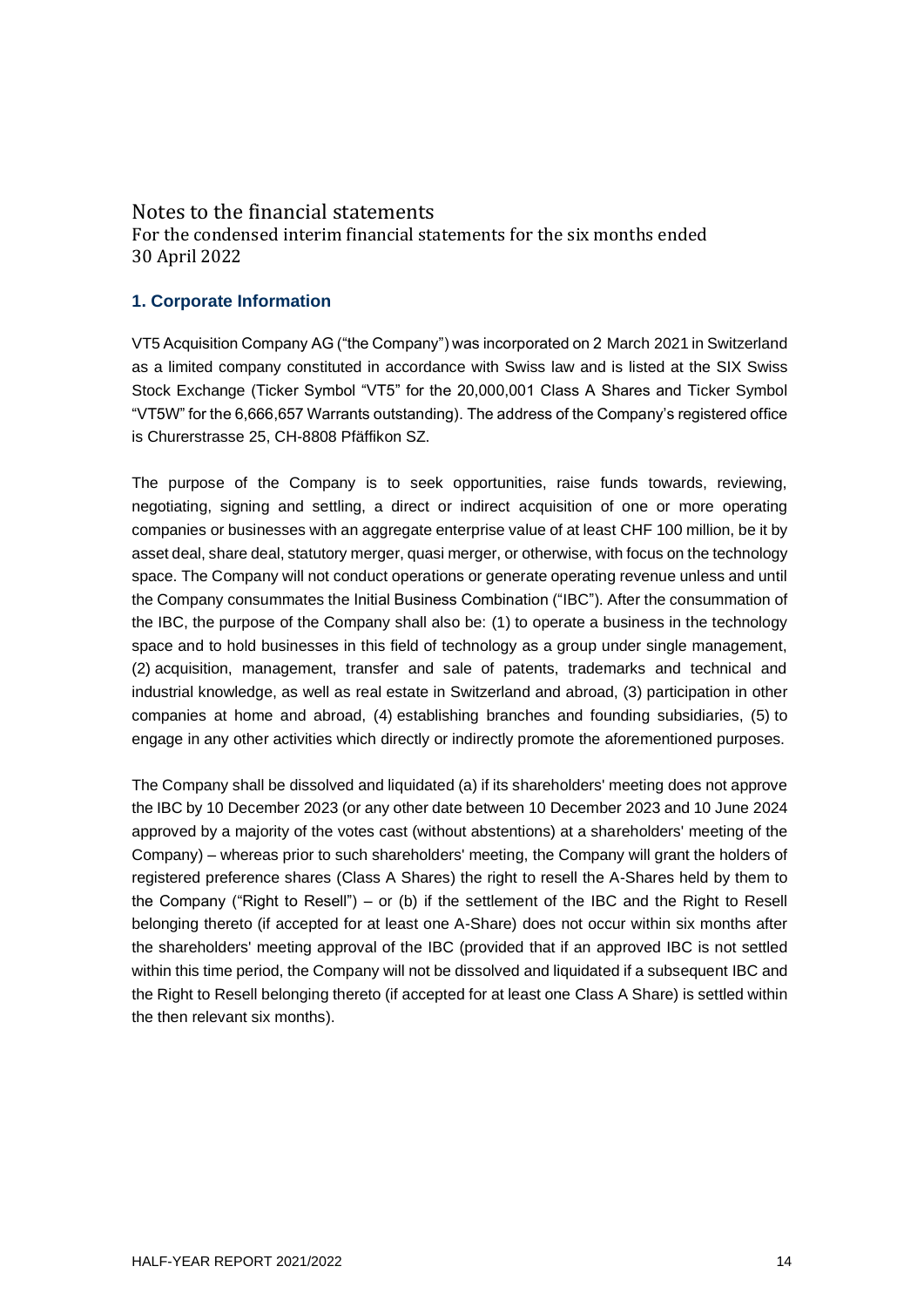## Notes to the financial statements

For the condensed interim financial statements for the six months ended 30 April 2022

#### **1. Corporate Information**

VT5 Acquisition Company AG ("the Company") was incorporated on 2 March 2021 in Switzerland as a limited company constituted in accordance with Swiss law and is listed at the SIX Swiss Stock Exchange (Ticker Symbol "VT5" for the 20,000,001 Class A Shares and Ticker Symbol "VT5W" for the 6,666,657 Warrants outstanding). The address of the Company's registered office is Churerstrasse 25, CH-8808 Pfäffikon SZ.

The purpose of the Company is to seek opportunities, raise funds towards, reviewing, negotiating, signing and settling, a direct or indirect acquisition of one or more operating companies or businesses with an aggregate enterprise value of at least CHF 100 million, be it by asset deal, share deal, statutory merger, quasi merger, or otherwise, with focus on the technology space. The Company will not conduct operations or generate operating revenue unless and until the Company consummates the Initial Business Combination ("IBC"). After the consummation of the IBC, the purpose of the Company shall also be: (1) to operate a business in the technology space and to hold businesses in this field of technology as a group under single management, (2) acquisition, management, transfer and sale of patents, trademarks and technical and industrial knowledge, as well as real estate in Switzerland and abroad, (3) participation in other companies at home and abroad, (4) establishing branches and founding subsidiaries, (5) to engage in any other activities which directly or indirectly promote the aforementioned purposes.

The Company shall be dissolved and liquidated (a) if its shareholders' meeting does not approve the IBC by 10 December 2023 (or any other date between 10 December 2023 and 10 June 2024 approved by a majority of the votes cast (without abstentions) at a shareholders' meeting of the Company) – whereas prior to such shareholders' meeting, the Company will grant the holders of registered preference shares (Class A Shares) the right to resell the A-Shares held by them to the Company ("Right to Resell") – or (b) if the settlement of the IBC and the Right to Resell belonging thereto (if accepted for at least one A-Share) does not occur within six months after the shareholders' meeting approval of the IBC (provided that if an approved IBC is not settled within this time period, the Company will not be dissolved and liquidated if a subsequent IBC and the Right to Resell belonging thereto (if accepted for at least one Class A Share) is settled within the then relevant six months).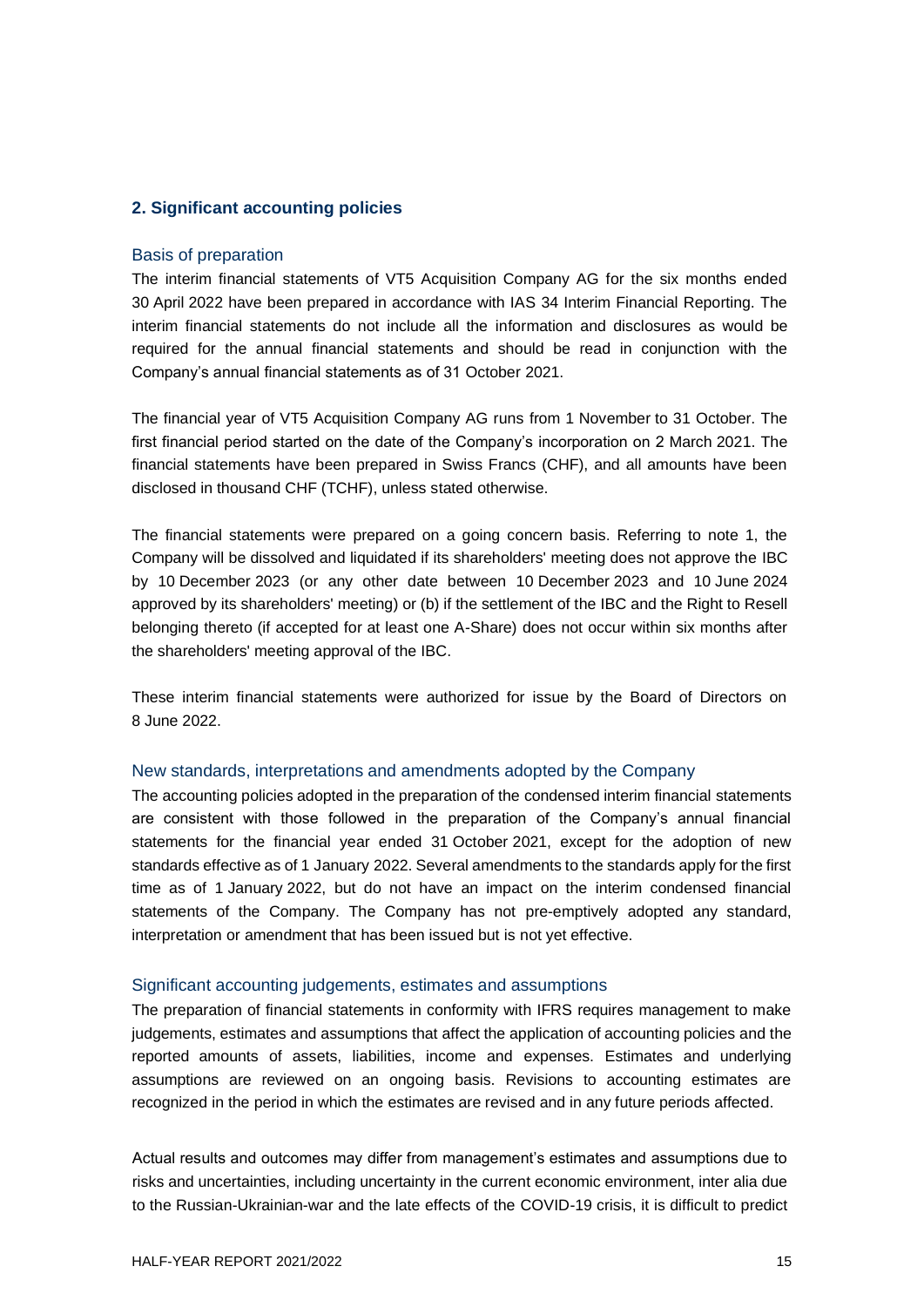#### **2. Significant accounting policies**

#### Basis of preparation

The interim financial statements of VT5 Acquisition Company AG for the six months ended 30 April 2022 have been prepared in accordance with IAS 34 Interim Financial Reporting. The interim financial statements do not include all the information and disclosures as would be required for the annual financial statements and should be read in conjunction with the Company's annual financial statements as of 31 October 2021.

The financial year of VT5 Acquisition Company AG runs from 1 November to 31 October. The first financial period started on the date of the Company's incorporation on 2 March 2021. The financial statements have been prepared in Swiss Francs (CHF), and all amounts have been disclosed in thousand CHF (TCHF), unless stated otherwise.

The financial statements were prepared on a going concern basis. Referring to note 1, the Company will be dissolved and liquidated if its shareholders' meeting does not approve the IBC by 10 December 2023 (or any other date between 10 December 2023 and 10 June 2024 approved by its shareholders' meeting) or (b) if the settlement of the IBC and the Right to Resell belonging thereto (if accepted for at least one A-Share) does not occur within six months after the shareholders' meeting approval of the IBC.

These interim financial statements were authorized for issue by the Board of Directors on 8 June 2022.

#### New standards, interpretations and amendments adopted by the Company

The accounting policies adopted in the preparation of the condensed interim financial statements are consistent with those followed in the preparation of the Company's annual financial statements for the financial year ended 31 October 2021, except for the adoption of new standards effective as of 1 January 2022. Several amendments to the standards apply for the first time as of 1 January 2022, but do not have an impact on the interim condensed financial statements of the Company. The Company has not pre-emptively adopted any standard, interpretation or amendment that has been issued but is not yet effective.

#### Significant accounting judgements, estimates and assumptions

The preparation of financial statements in conformity with IFRS requires management to make judgements, estimates and assumptions that affect the application of accounting policies and the reported amounts of assets, liabilities, income and expenses. Estimates and underlying assumptions are reviewed on an ongoing basis. Revisions to accounting estimates are recognized in the period in which the estimates are revised and in any future periods affected.

Actual results and outcomes may differ from management's estimates and assumptions due to risks and uncertainties, including uncertainty in the current economic environment, inter alia due to the Russian-Ukrainian-war and the late effects of the COVID-19 crisis, it is difficult to predict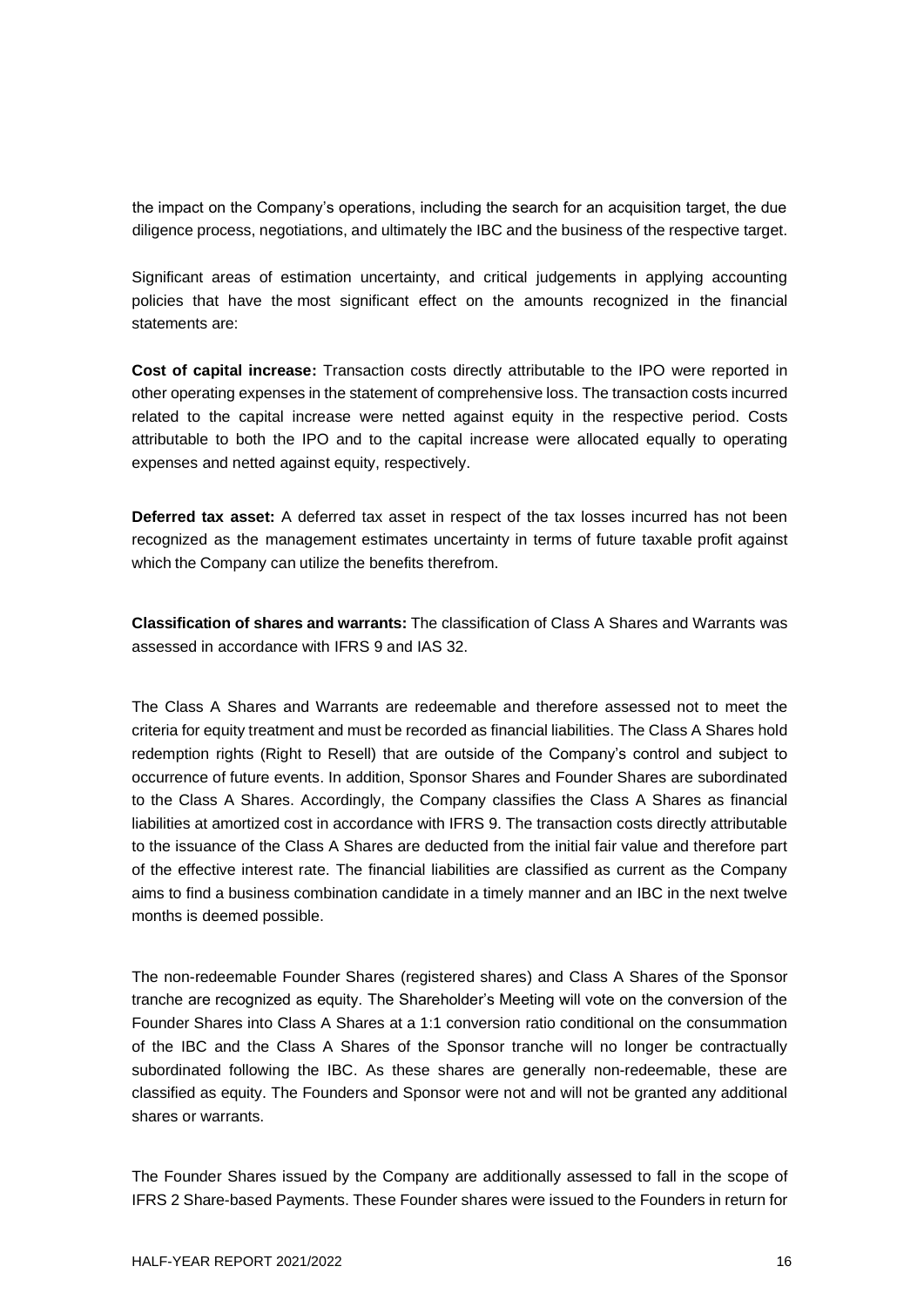the impact on the Company's operations, including the search for an acquisition target, the due diligence process, negotiations, and ultimately the IBC and the business of the respective target.

Significant areas of estimation uncertainty, and critical judgements in applying accounting policies that have the most significant effect on the amounts recognized in the financial statements are:

**Cost of capital increase:** Transaction costs directly attributable to the IPO were reported in other operating expenses in the statement of comprehensive loss. The transaction costs incurred related to the capital increase were netted against equity in the respective period. Costs attributable to both the IPO and to the capital increase were allocated equally to operating expenses and netted against equity, respectively.

**Deferred tax asset:** A deferred tax asset in respect of the tax losses incurred has not been recognized as the management estimates uncertainty in terms of future taxable profit against which the Company can utilize the benefits therefrom.

**Classification of shares and warrants:** The classification of Class A Shares and Warrants was assessed in accordance with IFRS 9 and IAS 32.

The Class A Shares and Warrants are redeemable and therefore assessed not to meet the criteria for equity treatment and must be recorded as financial liabilities. The Class A Shares hold redemption rights (Right to Resell) that are outside of the Company's control and subject to occurrence of future events. In addition, Sponsor Shares and Founder Shares are subordinated to the Class A Shares. Accordingly, the Company classifies the Class A Shares as financial liabilities at amortized cost in accordance with IFRS 9. The transaction costs directly attributable to the issuance of the Class A Shares are deducted from the initial fair value and therefore part of the effective interest rate. The financial liabilities are classified as current as the Company aims to find a business combination candidate in a timely manner and an IBC in the next twelve months is deemed possible.

The non-redeemable Founder Shares (registered shares) and Class A Shares of the Sponsor tranche are recognized as equity. The Shareholder's Meeting will vote on the conversion of the Founder Shares into Class A Shares at a 1:1 conversion ratio conditional on the consummation of the IBC and the Class A Shares of the Sponsor tranche will no longer be contractually subordinated following the IBC. As these shares are generally non-redeemable, these are classified as equity. The Founders and Sponsor were not and will not be granted any additional shares or warrants.

The Founder Shares issued by the Company are additionally assessed to fall in the scope of IFRS 2 Share-based Payments. These Founder shares were issued to the Founders in return for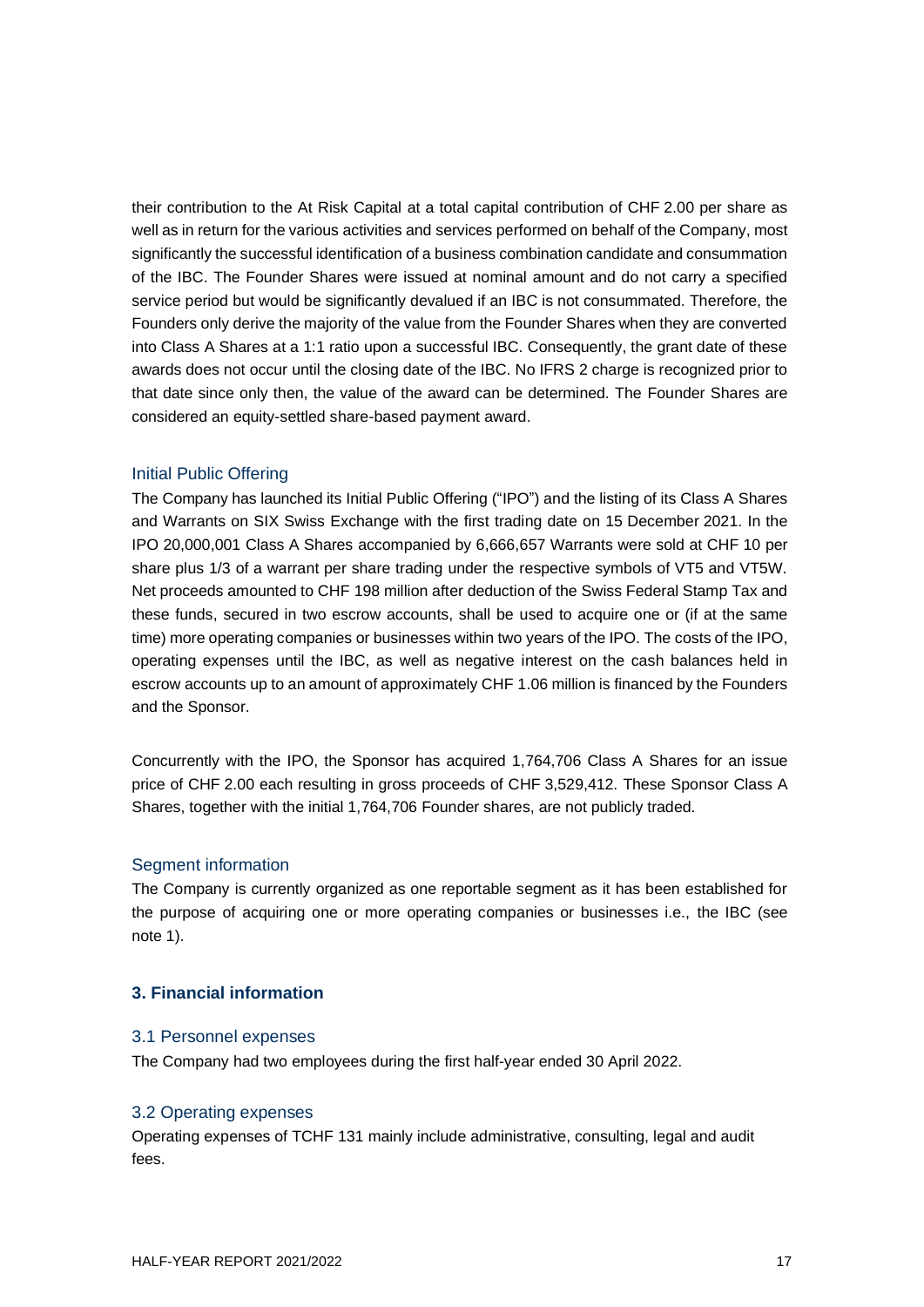their contribution to the At Risk Capital at a total capital contribution of CHF 2.00 per share as well as in return for the various activities and services performed on behalf of the Company, most significantly the successful identification of a business combination candidate and consummation of the IBC. The Founder Shares were issued at nominal amount and do not carry a specified service period but would be significantly devalued if an IBC is not consummated. Therefore, the Founders only derive the majority of the value from the Founder Shares when they are converted into Class A Shares at a 1:1 ratio upon a successful IBC. Consequently, the grant date of these awards does not occur until the closing date of the IBC. No IFRS 2 charge is recognized prior to that date since only then, the value of the award can be determined. The Founder Shares are considered an equity-settled share-based payment award.

#### Initial Public Offering

The Company has launched its Initial Public Offering ("IPO") and the listing of its Class A Shares and Warrants on SIX Swiss Exchange with the first trading date on 15 December 2021. In the IPO 20,000,001 Class A Shares accompanied by 6,666,657 Warrants were sold at CHF 10 per share plus 1/3 of a warrant per share trading under the respective symbols of VT5 and VT5W. Net proceeds amounted to CHF 198 million after deduction of the Swiss Federal Stamp Tax and these funds, secured in two escrow accounts, shall be used to acquire one or (if at the same time) more operating companies or businesses within two years of the IPO. The costs of the IPO, operating expenses until the IBC, as well as negative interest on the cash balances held in escrow accounts up to an amount of approximately CHF 1.06 million is financed by the Founders and the Sponsor.

Concurrently with the IPO, the Sponsor has acquired 1,764,706 Class A Shares for an issue price of CHF 2.00 each resulting in gross proceeds of CHF 3,529,412. These Sponsor Class A Shares, together with the initial 1,764,706 Founder shares, are not publicly traded.

#### Segment information

The Company is currently organized as one reportable segment as it has been established for the purpose of acquiring one or more operating companies or businesses i.e., the IBC (see note 1).

#### **3. Financial information**

#### 3.1 Personnel expenses

The Company had two employees during the first half-year ended 30 April 2022.

#### 3.2 Operating expenses

Operating expenses of TCHF 131 mainly include administrative, consulting, legal and audit fees.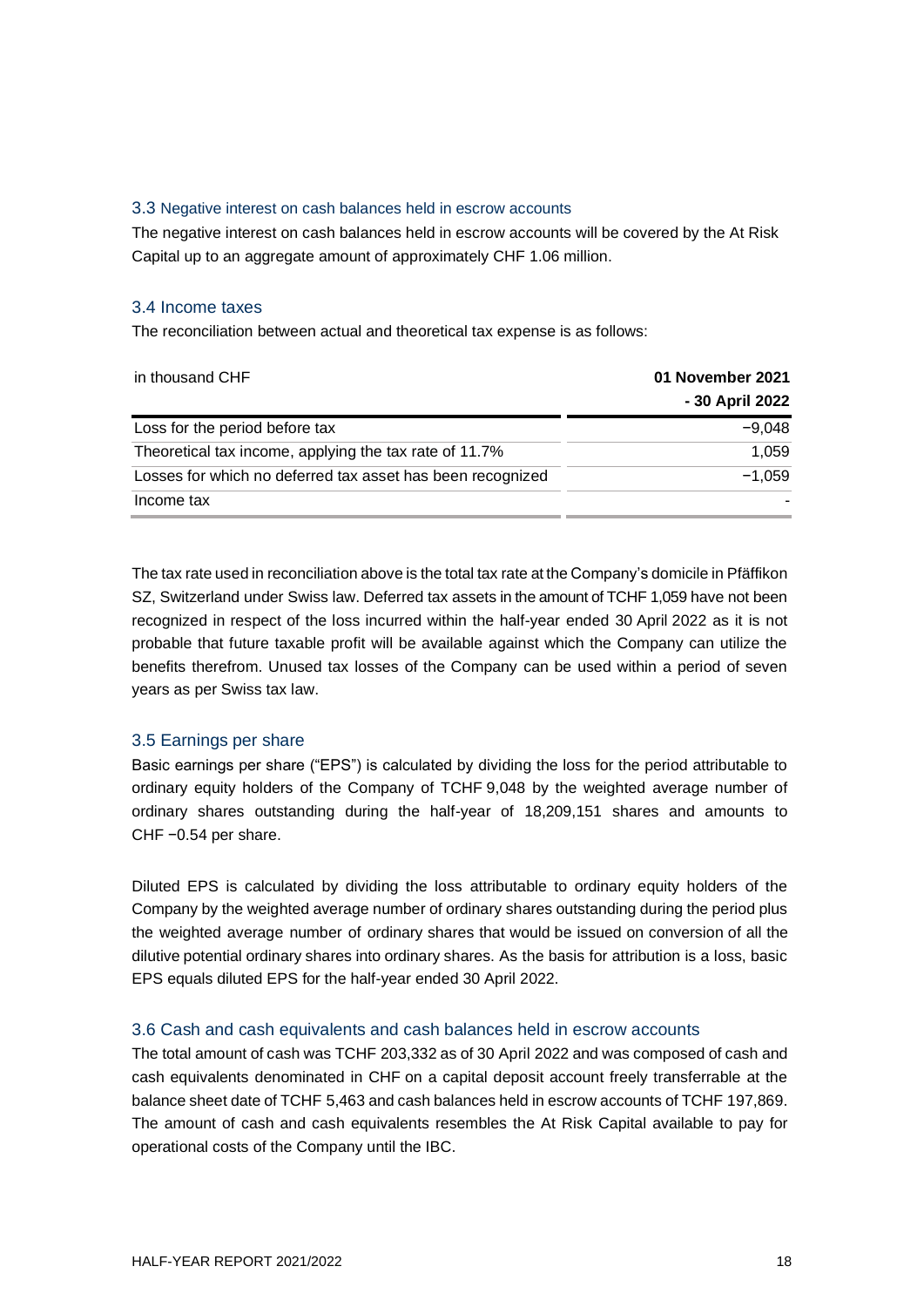#### 3.3 Negative interest on cash balances held in escrow accounts

The negative interest on cash balances held in escrow accounts will be covered by the At Risk Capital up to an aggregate amount of approximately CHF 1.06 million.

#### 3.4 Income taxes

The reconciliation between actual and theoretical tax expense is as follows:

| in thousand CHF                                            | 01 November 2021 |
|------------------------------------------------------------|------------------|
|                                                            | - 30 April 2022  |
| Loss for the period before tax                             | $-9.048$         |
| Theoretical tax income, applying the tax rate of 11.7%     | 1,059            |
| Losses for which no deferred tax asset has been recognized | $-1,059$         |
| Income tax                                                 |                  |

The tax rate used in reconciliation above is the total tax rate at the Company's domicile in Pfäffikon SZ, Switzerland under Swiss law. Deferred tax assets in the amount of TCHF 1,059 have not been recognized in respect of the loss incurred within the half-year ended 30 April 2022 as it is not probable that future taxable profit will be available against which the Company can utilize the benefits therefrom. Unused tax losses of the Company can be used within a period of seven years as per Swiss tax law.

#### 3.5 Earnings per share

Basic earnings per share ("EPS") is calculated by dividing the loss for the period attributable to ordinary equity holders of the Company of TCHF 9,048 by the weighted average number of ordinary shares outstanding during the half-year of 18,209,151 shares and amounts to CHF −0.54 per share.

Diluted EPS is calculated by dividing the loss attributable to ordinary equity holders of the Company by the weighted average number of ordinary shares outstanding during the period plus the weighted average number of ordinary shares that would be issued on conversion of all the dilutive potential ordinary shares into ordinary shares. As the basis for attribution is a loss, basic EPS equals diluted EPS for the half-year ended 30 April 2022.

#### 3.6 Cash and cash equivalents and cash balances held in escrow accounts

The total amount of cash was TCHF 203,332 as of 30 April 2022 and was composed of cash and cash equivalents denominated in CHF on a capital deposit account freely transferrable at the balance sheet date of TCHF 5,463 and cash balances held in escrow accounts of TCHF 197,869. The amount of cash and cash equivalents resembles the At Risk Capital available to pay for operational costs of the Company until the IBC.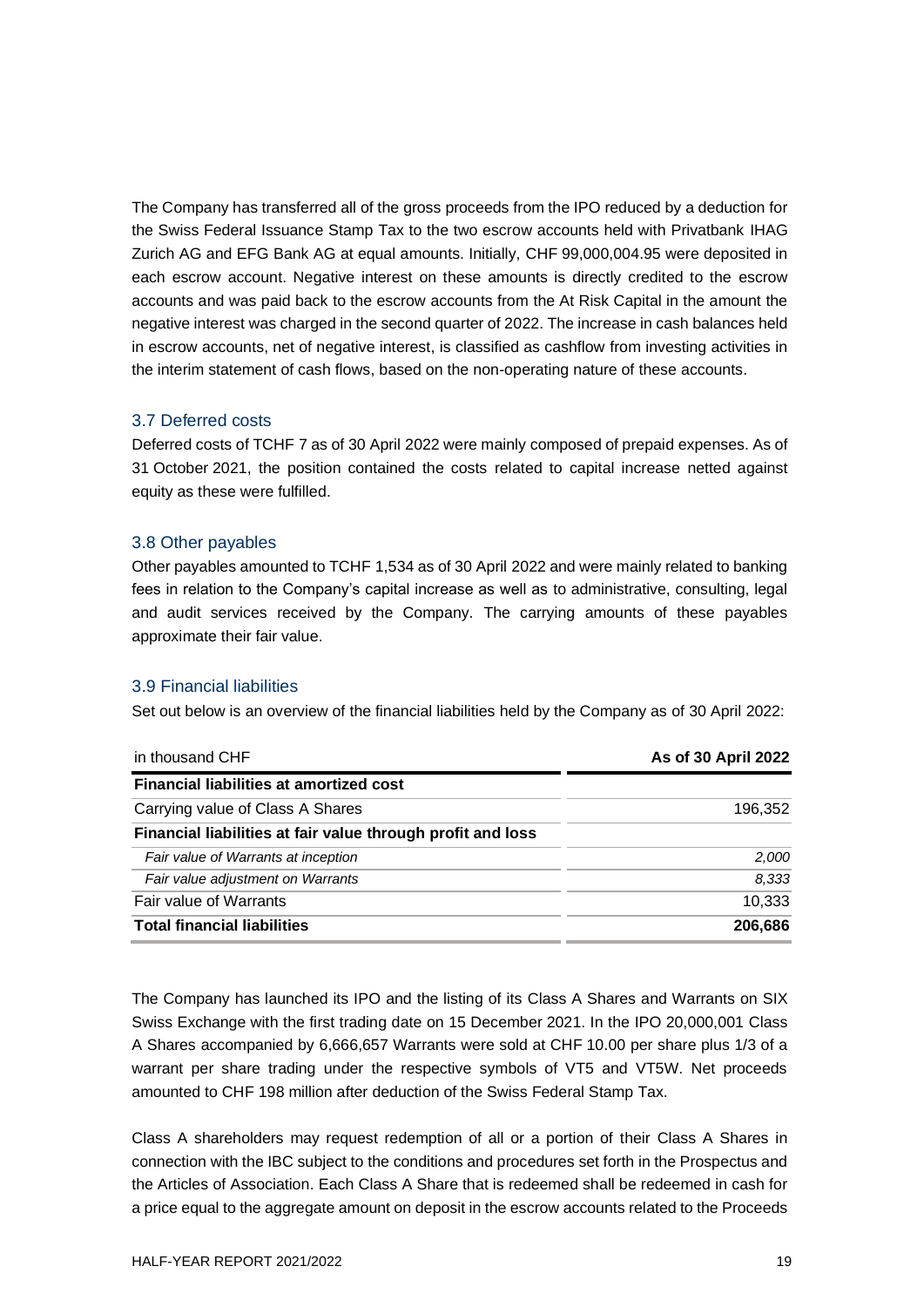The Company has transferred all of the gross proceeds from the IPO reduced by a deduction for the Swiss Federal Issuance Stamp Tax to the two escrow accounts held with Privatbank IHAG Zurich AG and EFG Bank AG at equal amounts. Initially, CHF 99,000,004.95 were deposited in each escrow account. Negative interest on these amounts is directly credited to the escrow accounts and was paid back to the escrow accounts from the At Risk Capital in the amount the negative interest was charged in the second quarter of 2022. The increase in cash balances held in escrow accounts, net of negative interest, is classified as cashflow from investing activities in the interim statement of cash flows, based on the non-operating nature of these accounts.

#### 3.7 Deferred costs

Deferred costs of TCHF 7 as of 30 April 2022 were mainly composed of prepaid expenses. As of 31 October 2021, the position contained the costs related to capital increase netted against equity as these were fulfilled.

#### 3.8 Other payables

Other payables amounted to TCHF 1,534 as of 30 April 2022 and were mainly related to banking fees in relation to the Company's capital increase as well as to administrative, consulting, legal and audit services received by the Company. The carrying amounts of these payables approximate their fair value.

#### 3.9 Financial liabilities

Set out below is an overview of the financial liabilities held by the Company as of 30 April 2022:

| in thousand CHF                                             | As of 30 April 2022 |  |
|-------------------------------------------------------------|---------------------|--|
| <b>Financial liabilities at amortized cost</b>              |                     |  |
| Carrying value of Class A Shares                            | 196.352             |  |
| Financial liabilities at fair value through profit and loss |                     |  |
| Fair value of Warrants at inception                         | 2,000               |  |
| Fair value adjustment on Warrants                           | 8,333               |  |
| <b>Fair value of Warrants</b>                               | 10,333              |  |
| <b>Total financial liabilities</b>                          | 206,686             |  |

The Company has launched its IPO and the listing of its Class A Shares and Warrants on SIX Swiss Exchange with the first trading date on 15 December 2021. In the IPO 20,000,001 Class A Shares accompanied by 6,666,657 Warrants were sold at CHF 10.00 per share plus 1/3 of a warrant per share trading under the respective symbols of VT5 and VT5W. Net proceeds amounted to CHF 198 million after deduction of the Swiss Federal Stamp Tax.

Class A shareholders may request redemption of all or a portion of their Class A Shares in connection with the IBC subject to the conditions and procedures set forth in the Prospectus and the Articles of Association. Each Class A Share that is redeemed shall be redeemed in cash for a price equal to the aggregate amount on deposit in the escrow accounts related to the Proceeds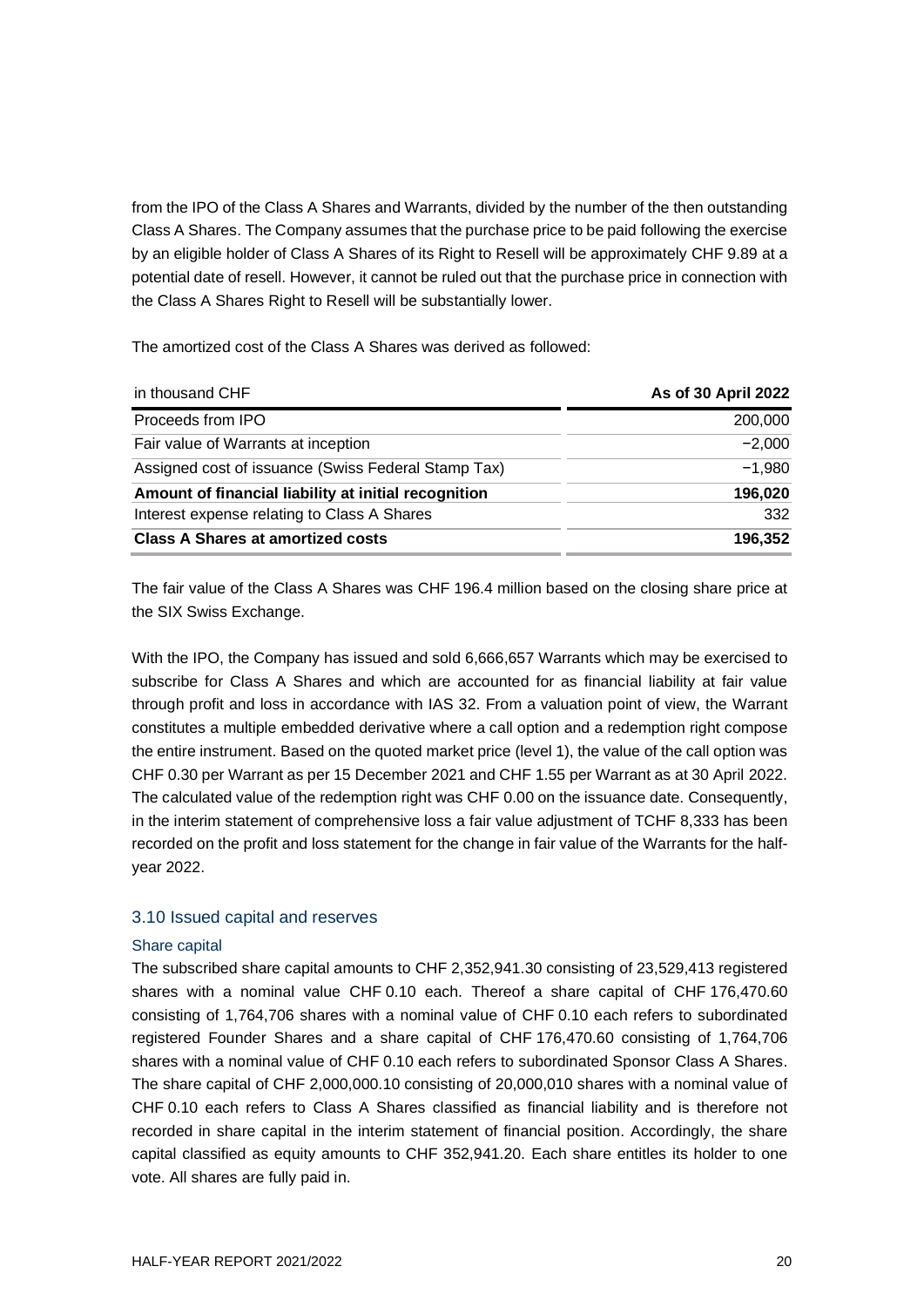from the IPO of the Class A Shares and Warrants, divided by the number of the then outstanding Class A Shares. The Company assumes that the purchase price to be paid following the exercise by an eligible holder of Class A Shares of its Right to Resell will be approximately CHF 9.89 at a potential date of resell. However, it cannot be ruled out that the purchase price in connection with the Class A Shares Right to Resell will be substantially lower.

The amortized cost of the Class A Shares was derived as followed:

| in thousand CHF                                      | As of 30 April 2022 |
|------------------------------------------------------|---------------------|
| Proceeds from IPO                                    | 200,000             |
| Fair value of Warrants at inception                  | $-2.000$            |
| Assigned cost of issuance (Swiss Federal Stamp Tax)  | $-1,980$            |
| Amount of financial liability at initial recognition | 196,020             |
| Interest expense relating to Class A Shares          | 332                 |
| <b>Class A Shares at amortized costs</b>             | 196,352             |

The fair value of the Class A Shares was CHF 196.4 million based on the closing share price at the SIX Swiss Exchange.

With the IPO, the Company has issued and sold 6,666,657 Warrants which may be exercised to subscribe for Class A Shares and which are accounted for as financial liability at fair value through profit and loss in accordance with IAS 32. From a valuation point of view, the Warrant constitutes a multiple embedded derivative where a call option and a redemption right compose the entire instrument. Based on the quoted market price (level 1), the value of the call option was CHF 0.30 per Warrant as per 15 December 2021 and CHF 1.55 per Warrant as at 30 April 2022. The calculated value of the redemption right was CHF 0.00 on the issuance date. Consequently, in the interim statement of comprehensive loss a fair value adjustment of TCHF 8,333 has been recorded on the profit and loss statement for the change in fair value of the Warrants for the halfyear 2022.

#### 3.10 Issued capital and reserves

#### Share capital

The subscribed share capital amounts to CHF 2,352,941.30 consisting of 23,529,413 registered shares with a nominal value CHF 0.10 each. Thereof a share capital of CHF 176,470.60 consisting of 1,764,706 shares with a nominal value of CHF 0.10 each refers to subordinated registered Founder Shares and a share capital of CHF 176,470.60 consisting of 1,764,706 shares with a nominal value of CHF 0.10 each refers to subordinated Sponsor Class A Shares. The share capital of CHF 2,000,000.10 consisting of 20,000,010 shares with a nominal value of CHF 0.10 each refers to Class A Shares classified as financial liability and is therefore not recorded in share capital in the interim statement of financial position. Accordingly, the share capital classified as equity amounts to CHF 352,941.20. Each share entitles its holder to one vote. All shares are fully paid in.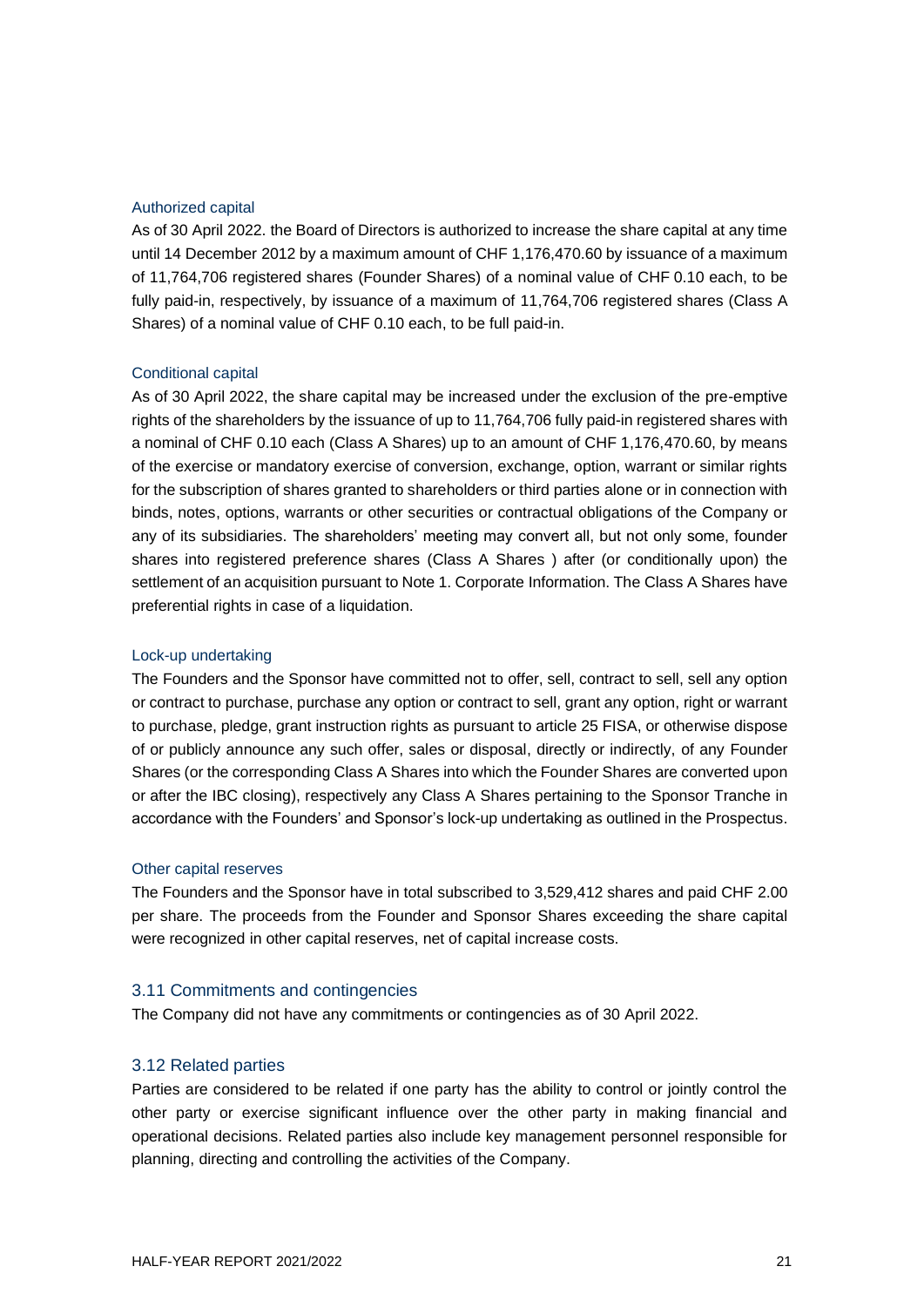#### Authorized capital

As of 30 April 2022. the Board of Directors is authorized to increase the share capital at any time until 14 December 2012 by a maximum amount of CHF 1,176,470.60 by issuance of a maximum of 11,764,706 registered shares (Founder Shares) of a nominal value of CHF 0.10 each, to be fully paid-in, respectively, by issuance of a maximum of 11,764,706 registered shares (Class A Shares) of a nominal value of CHF 0.10 each, to be full paid-in.

#### Conditional capital

As of 30 April 2022, the share capital may be increased under the exclusion of the pre-emptive rights of the shareholders by the issuance of up to 11,764,706 fully paid-in registered shares with a nominal of CHF 0.10 each (Class A Shares) up to an amount of CHF 1,176,470.60, by means of the exercise or mandatory exercise of conversion, exchange, option, warrant or similar rights for the subscription of shares granted to shareholders or third parties alone or in connection with binds, notes, options, warrants or other securities or contractual obligations of the Company or any of its subsidiaries. The shareholders' meeting may convert all, but not only some, founder shares into registered preference shares (Class A Shares ) after (or conditionally upon) the settlement of an acquisition pursuant to Note 1. Corporate Information. The Class A Shares have preferential rights in case of a liquidation.

#### Lock-up undertaking

The Founders and the Sponsor have committed not to offer, sell, contract to sell, sell any option or contract to purchase, purchase any option or contract to sell, grant any option, right or warrant to purchase, pledge, grant instruction rights as pursuant to article 25 FISA, or otherwise dispose of or publicly announce any such offer, sales or disposal, directly or indirectly, of any Founder Shares (or the corresponding Class A Shares into which the Founder Shares are converted upon or after the IBC closing), respectively any Class A Shares pertaining to the Sponsor Tranche in accordance with the Founders' and Sponsor's lock-up undertaking as outlined in the Prospectus.

#### Other capital reserves

The Founders and the Sponsor have in total subscribed to 3,529,412 shares and paid CHF 2.00 per share. The proceeds from the Founder and Sponsor Shares exceeding the share capital were recognized in other capital reserves, net of capital increase costs.

#### 3.11 Commitments and contingencies

The Company did not have any commitments or contingencies as of 30 April 2022.

#### 3.12 Related parties

Parties are considered to be related if one party has the ability to control or jointly control the other party or exercise significant influence over the other party in making financial and operational decisions. Related parties also include key management personnel responsible for planning, directing and controlling the activities of the Company.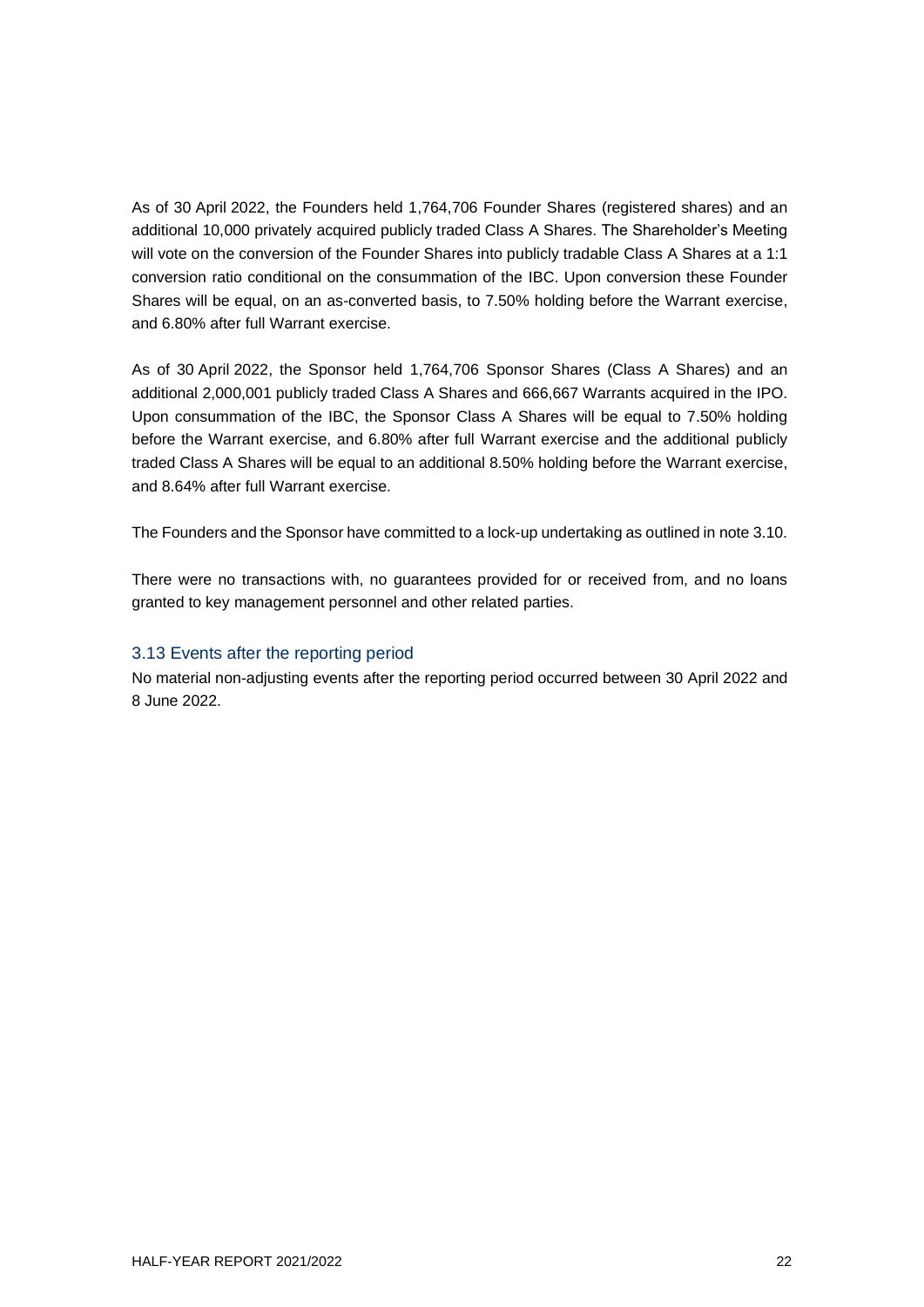As of 30 April 2022, the Founders held 1,764,706 Founder Shares (registered shares) and an additional 10,000 privately acquired publicly traded Class A Shares. The Shareholder's Meeting will vote on the conversion of the Founder Shares into publicly tradable Class A Shares at a 1:1 conversion ratio conditional on the consummation of the IBC. Upon conversion these Founder Shares will be equal, on an as-converted basis, to 7.50% holding before the Warrant exercise, and 6.80% after full Warrant exercise.

As of 30 April 2022, the Sponsor held 1,764,706 Sponsor Shares (Class A Shares) and an additional 2,000,001 publicly traded Class A Shares and 666,667 Warrants acquired in the IPO. Upon consummation of the IBC, the Sponsor Class A Shares will be equal to 7.50% holding before the Warrant exercise, and 6.80% after full Warrant exercise and the additional publicly traded Class A Shares will be equal to an additional 8.50% holding before the Warrant exercise, and 8.64% after full Warrant exercise.

The Founders and the Sponsor have committed to a lock-up undertaking as outlined in note 3.10.

There were no transactions with, no guarantees provided for or received from, and no loans granted to key management personnel and other related parties.

#### 3.13 Events after the reporting period

No material non-adjusting events after the reporting period occurred between 30 April 2022 and 8 June 2022.